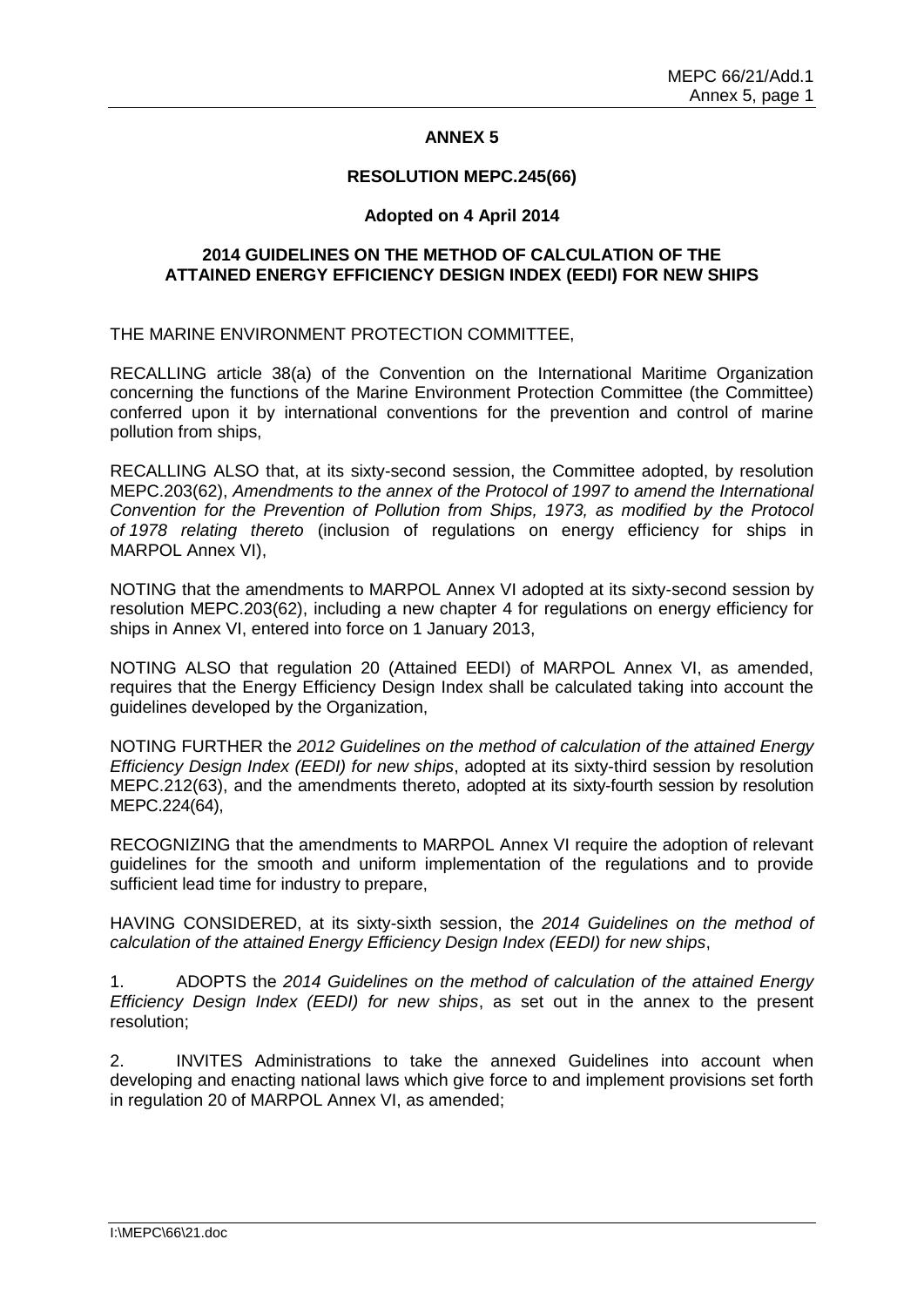### **ANNEX 5**

#### **RESOLUTION MEPC.245(66)**

### **Adopted on 4 April 2014**

### **2014 GUIDELINES ON THE METHOD OF CALCULATION OF THE ATTAINED ENERGY EFFICIENCY DESIGN INDEX (EEDI) FOR NEW SHIPS**

THE MARINE ENVIRONMENT PROTECTION COMMITTEE,

RECALLING article 38(a) of the Convention on the International Maritime Organization concerning the functions of the Marine Environment Protection Committee (the Committee) conferred upon it by international conventions for the prevention and control of marine pollution from ships,

RECALLING ALSO that, at its sixty-second session, the Committee adopted, by resolution MEPC.203(62), *Amendments to the annex of the Protocol of 1997 to amend the International Convention for the Prevention of Pollution from Ships, 1973, as modified by the Protocol of 1978 relating thereto* (inclusion of regulations on energy efficiency for ships in MARPOL Annex VI),

NOTING that the amendments to MARPOL Annex VI adopted at its sixty-second session by resolution MEPC.203(62), including a new chapter 4 for regulations on energy efficiency for ships in Annex VI, entered into force on 1 January 2013,

NOTING ALSO that regulation 20 (Attained EEDI) of MARPOL Annex VI, as amended, requires that the Energy Efficiency Design Index shall be calculated taking into account the guidelines developed by the Organization,

NOTING FURTHER the *2012 Guidelines on the method of calculation of the attained Energy Efficiency Design Index (EEDI) for new ships*, adopted at its sixty-third session by resolution MEPC.212(63), and the amendments thereto, adopted at its sixty-fourth session by resolution MEPC.224(64),

RECOGNIZING that the amendments to MARPOL Annex VI require the adoption of relevant guidelines for the smooth and uniform implementation of the regulations and to provide sufficient lead time for industry to prepare,

HAVING CONSIDERED, at its sixty-sixth session, the *2014 Guidelines on the method of calculation of the attained Energy Efficiency Design Index (EEDI) for new ships*,

1. ADOPTS the *2014 Guidelines on the method of calculation of the attained Energy Efficiency Design Index (EEDI) for new ships*, as set out in the annex to the present resolution;

2. INVITES Administrations to take the annexed Guidelines into account when developing and enacting national laws which give force to and implement provisions set forth in regulation 20 of MARPOL Annex VI, as amended;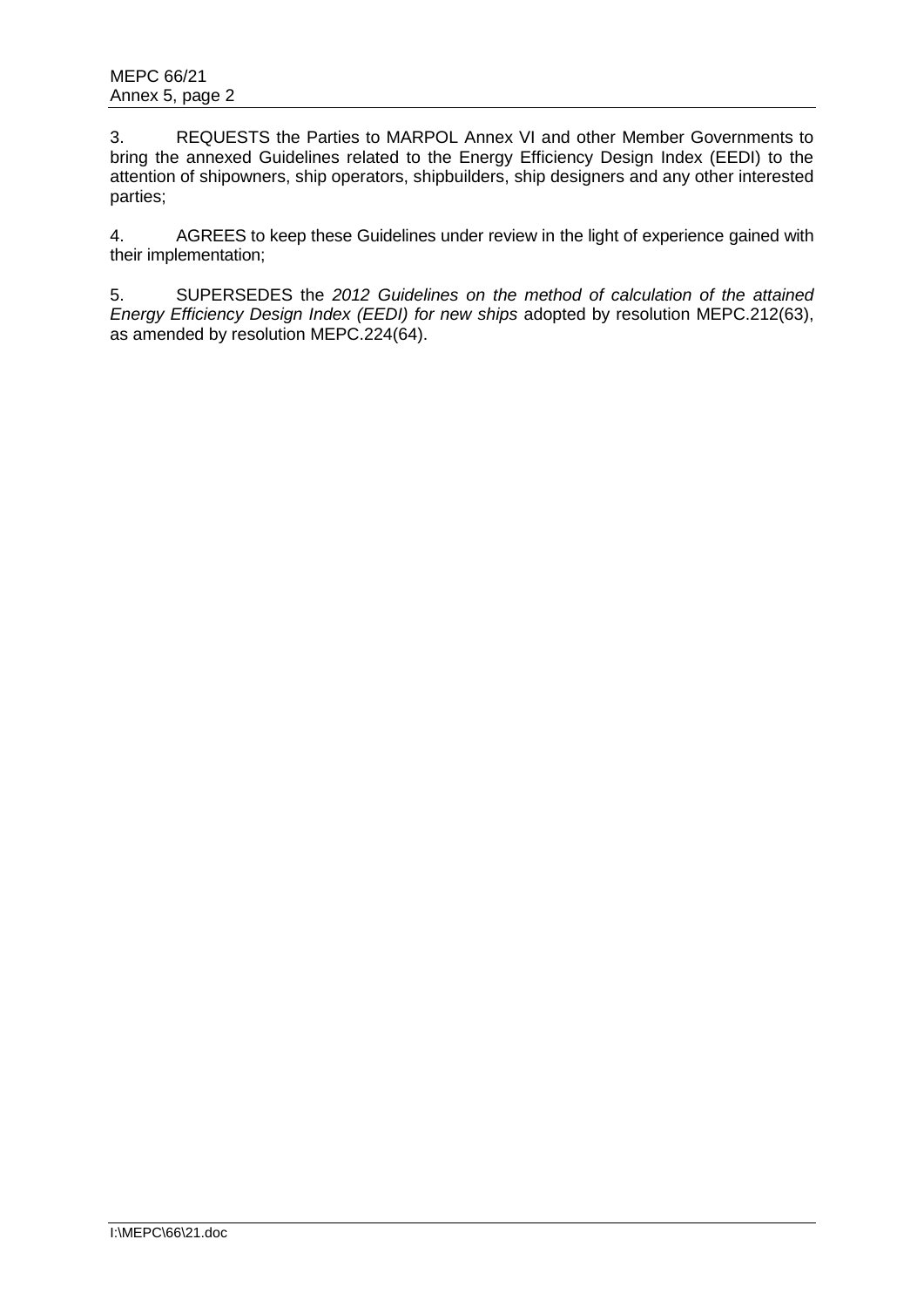3. REQUESTS the Parties to MARPOL Annex VI and other Member Governments to bring the annexed Guidelines related to the Energy Efficiency Design Index (EEDI) to the attention of shipowners, ship operators, shipbuilders, ship designers and any other interested parties;

4. AGREES to keep these Guidelines under review in the light of experience gained with their implementation;

5. SUPERSEDES the *2012 Guidelines on the method of calculation of the attained Energy Efficiency Design Index (EEDI) for new ships* adopted by resolution MEPC.212(63), as amended by resolution MEPC.224(64).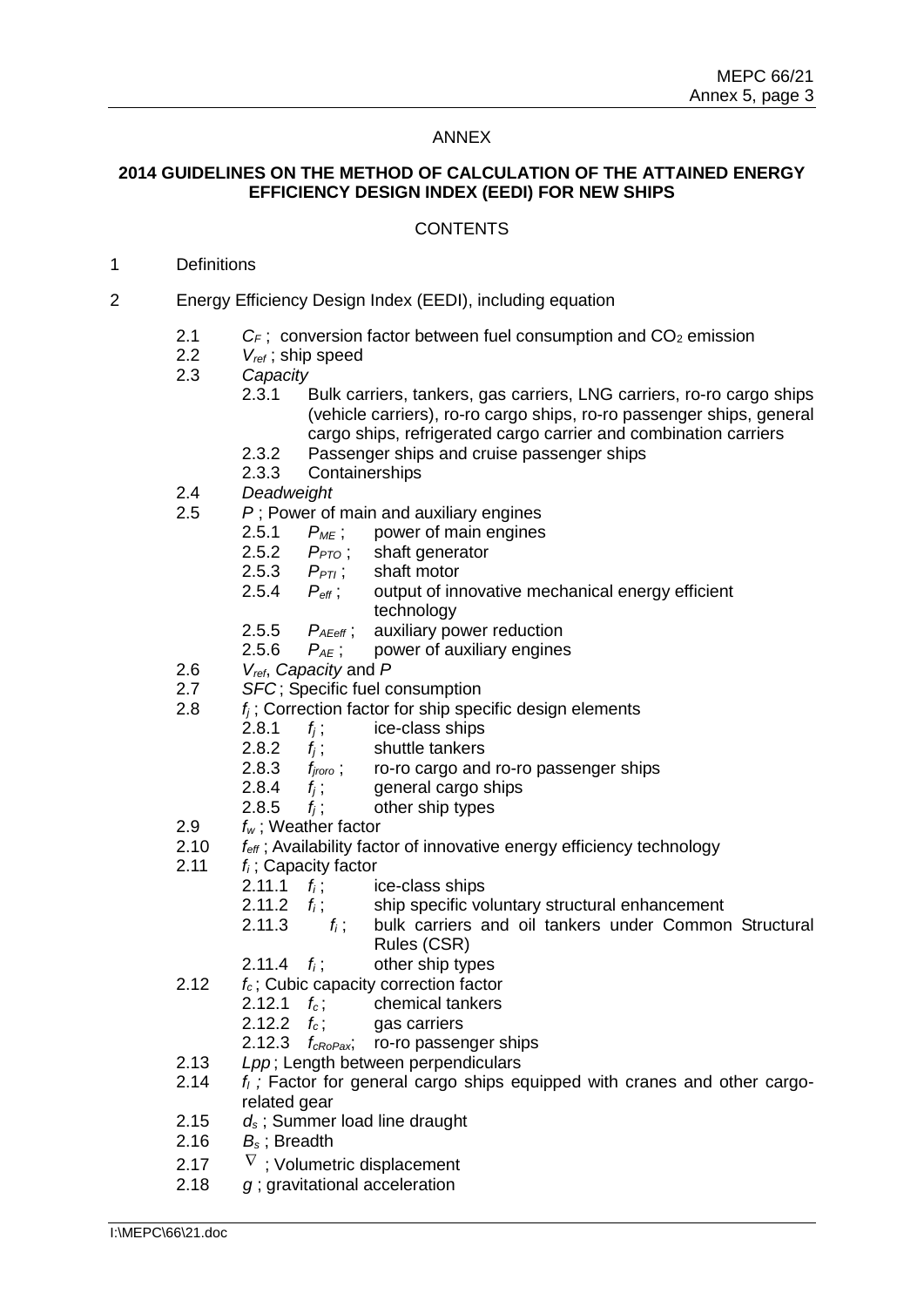### ANNEX

# **2014 GUIDELINES ON THE METHOD OF CALCULATION OF THE ATTAINED ENERGY EFFICIENCY DESIGN INDEX (EEDI) FOR NEW SHIPS**

### **CONTENTS**

### 1 Definitions

- 2 Energy Efficiency Design Index (EEDI), including equation
	- 2.1  $C_F$ ; conversion factor between fuel consumption and  $CO_2$  emission
	- 2.2 *Vref* ; ship speed
	- 2.3 *Capacity*
		- 2.3.1 Bulk carriers, tankers, gas carriers, LNG carriers, ro-ro cargo ships (vehicle carriers), ro-ro cargo ships, ro-ro passenger ships, general cargo ships, refrigerated cargo carrier and combination carriers
		- 2.3.2 Passenger ships and cruise passenger ships
		- 2.3.3 Containerships
	- 2.4 *Deadweight*
	- 2.5 *P* ; Power of main and auxiliary engines
		- 2.5.1 *PME* ; power of main engines
		- 2.5.2 *PPTO* ; shaft generator
		- 2.5.3  $P_{PTI}$ ; shaft motor
		- 2.5.4 *Peff* ; output of innovative mechanical energy efficient technology
		- 2.5.5 *PAEeff* ; auxiliary power reduction
		- 2.5.6 *PAE* ; power of auxiliary engines
	- 2.6 *Vref*, *Capacity* and *P*
	- 2.7 *SFC* ; Specific fuel consumption
	- 2.8 *f<sup>j</sup>* ; Correction factor for ship specific design elements
		- 2.8.1  $f_i$ ; ice-class ships
		- 2.8.2 *f<sup>j</sup>* ; shuttle tankers
		- 2.8.3 *fjroro* ; ro-ro cargo and ro-ro passenger ships
		- 2.8.4 *f<sup>j</sup>* ; general cargo ships
		- 2.8.5  $f_i$ ; other ship types
	- 2.9 *f<sup>w</sup>* ; Weather factor
	- 2.10 *feff* ; Availability factor of innovative energy efficiency technology
	- 2.11 *f<sup>i</sup>* ; Capacity factor
		- 2.11.1  $f_i$ ; ice-class ships
		- 2.11.2 *f<sup>i</sup>* ; ship specific voluntary structural enhancement
		- 2.11.3 *f<sup>i</sup>* ; bulk carriers and oil tankers under Common Structural Rules (CSR)
		- 2.11.4  $f_i$ ; other ship types
	- 2.12 *f<sup>c</sup>* ; Cubic capacity correction factor
		- 2.12.1  $f_c$ ; chemical tankers
			- 2.12.2  $f_c$ ; gas carriers
		- 2.12.3 *fcRoPax*; ro-ro passenger ships
	- 2.13 *Lpp* ; Length between perpendiculars
	- 2.14 *f<sup>l</sup> ;* Factor for general cargo ships equipped with cranes and other cargorelated gear
	- 2.15 *d<sup>s</sup>* ; Summer load line draught
	- 2.16 *B<sup>s</sup>* ; Breadth
	- 2.17  $\nabla$  ; Volumetric displacement
	- 2.18 *g* ; gravitational acceleration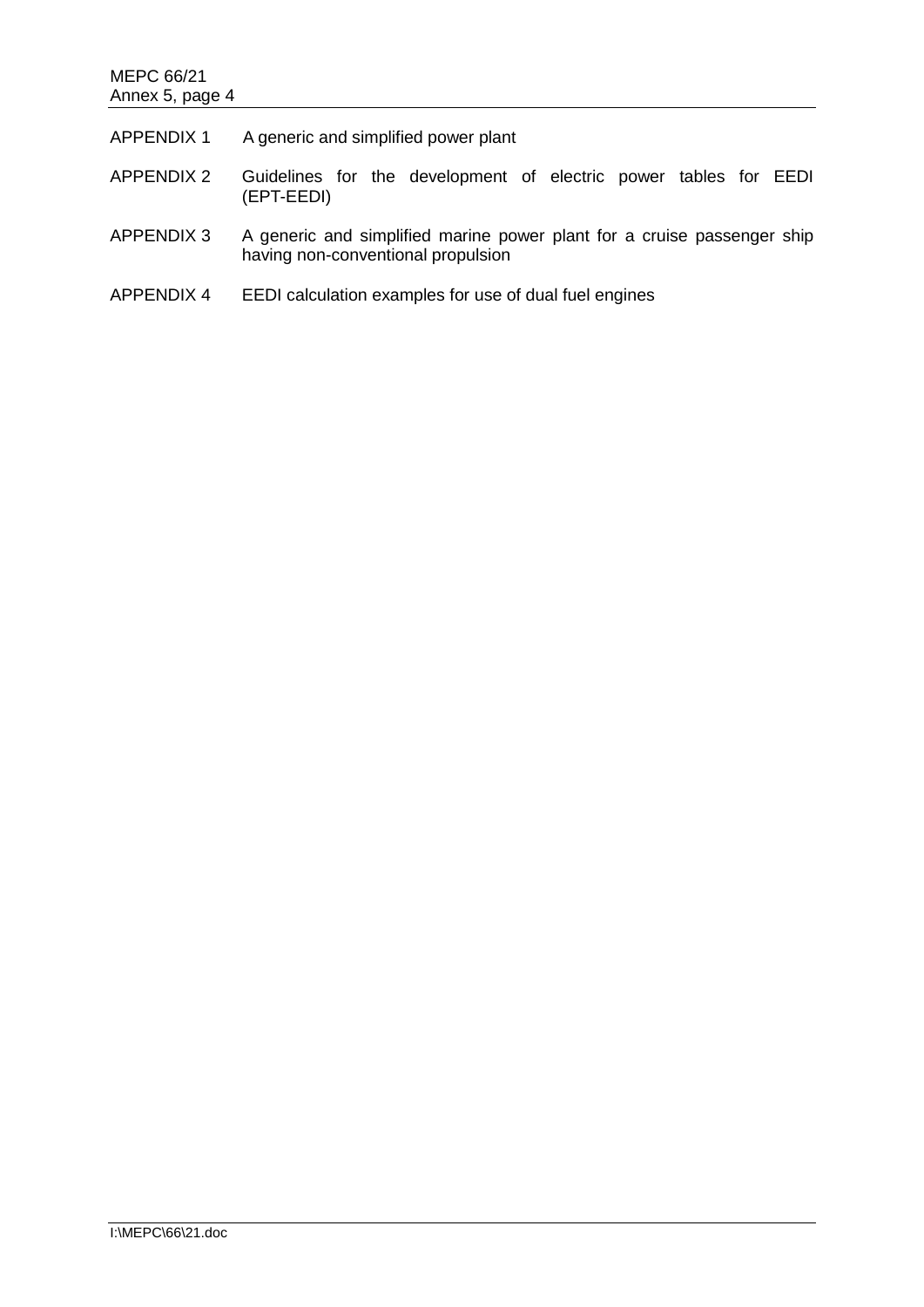## MEPC 66/21 Annex 5, page 4

| <b>APPENDIX 1</b> | A generic and simplified power plant                                                                          |
|-------------------|---------------------------------------------------------------------------------------------------------------|
| <b>APPENDIX 2</b> | Guidelines for the development of electric power tables for EEDI<br>(EPT-EEDI)                                |
| APPENDIX 3        | A generic and simplified marine power plant for a cruise passenger ship<br>having non-conventional propulsion |
| APPENDIX 4        | EEDI calculation examples for use of dual fuel engines                                                        |
|                   |                                                                                                               |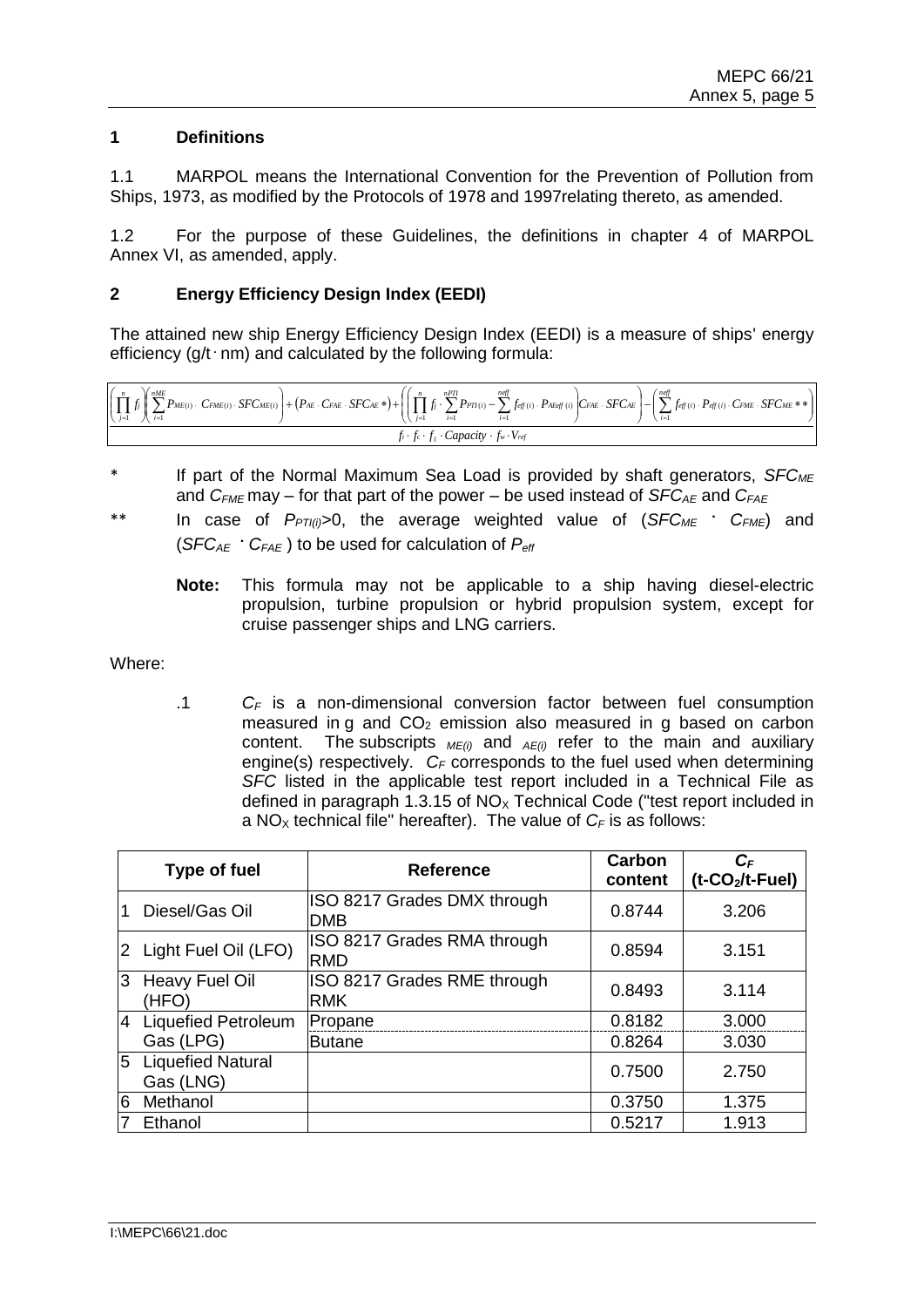### **1 Definitions**

1.1 MARPOL means the International Convention for the Prevention of Pollution from Ships, 1973, as modified by the Protocols of 1978 and 1997relating thereto, as amended.

1.2 For the purpose of these Guidelines, the definitions in chapter 4 of MARPOL Annex VI, as amended, apply.

### **2 Energy Efficiency Design Index (EEDI)**

The attained new ship Energy Efficiency Design Index (EEDI) is a measure of ships' energy efficiency (g/t · nm) and calculated by the following formula:

| $\left(\left(\prod_{j=1}^n f_j\right)\left(\sum_{i=1}^{nME}P_{ME(i)}\right)\cdot\;CF_{ME(i)}\cdot SFC_{ME(i)}\right)+\left(P_{AE}\cdot C_{FAE}\cdot SFC_{AE}*\right)+\left(\left(\prod_{j=1}^n f_j\cdot\sum_{i=1}^{nPT}P_{PT(i)}-\sum_{i=1}^{neff}f_{eff(i)}\cdot P_{AEGf(i)}\right)C_{FAE}\cdot SFC_{AE}\right)-\left(\sum_{i=1}^{neff}f_{eff(i)}\cdot P_{eff(i)}\cdot C_{FME}\cdot SFC_{ME}*\right)+\left(\sum_{i=1}^n f_{eff(i)}\cdot P_{AEGf(i)}\cdot$ |                                                                  |  |  |
|------------------------------------------------------------------------------------------------------------------------------------------------------------------------------------------------------------------------------------------------------------------------------------------------------------------------------------------------------------------------------------------------------------------------------------------------------------|------------------------------------------------------------------|--|--|
|                                                                                                                                                                                                                                                                                                                                                                                                                                                            | $f_i \cdot f_c \cdot f_i \cdot Capacity \cdot f_w \cdot V_{ref}$ |  |  |

- \* If part of the Normal Maximum Sea Load is provided by shaft generators, *SFCME* and  $C_{FMF}$  may – for that part of the power – be used instead of  $SFC_{AF}$  and  $C_{FAF}$
- \*\* In case of *PPTI(i)*>0, the average weighted value of (*SFCME* **.** *CFME*) and  $(SFC_{AE} \cdot C_{FAE})$  to be used for calculation of  $P_{ef}$ 
	- **Note:** This formula may not be applicable to a ship having diesel-electric propulsion, turbine propulsion or hybrid propulsion system, except for cruise passenger ships and LNG carriers.

Where:

.1 *C<sup>F</sup>* is a non-dimensional conversion factor between fuel consumption measured in g and  $CO<sub>2</sub>$  emission also measured in g based on carbon content. The subscripts  $_{ME(i)}$  and  $_{AE(i)}$  refer to the main and auxiliary engine(s) respectively.  $C_F$  corresponds to the fuel used when determining *SFC* listed in the applicable test report included in a Technical File as defined in paragraph 1.3.15 of  $NO<sub>x</sub>$  Technical Code ("test report included in a NO<sub>x</sub> technical file" hereafter). The value of  $C_F$  is as follows:

|    | <b>Type of fuel</b>                   | <b>Reference</b>                          | Carbon<br>content | $C_F$<br>(t-CO <sub>2</sub> /t-Fuel) |
|----|---------------------------------------|-------------------------------------------|-------------------|--------------------------------------|
|    | Diesel/Gas Oil                        | ISO 8217 Grades DMX through<br><b>DMB</b> | 0.8744            | 3.206                                |
|    | 2 Light Fuel Oil (LFO)                | ISO 8217 Grades RMA through<br><b>RMD</b> | 0.8594            | 3.151                                |
| Ι3 | Heavy Fuel Oil<br>(HFO)               | ISO 8217 Grades RME through<br><b>RMK</b> | 0.8493            | 3.114                                |
|    | 4 Liquefied Petroleum                 | Propane                                   | 0.8182            | 3.000                                |
|    | Gas (LPG)                             | <b>Butane</b>                             | 0.8264            | 3.030                                |
| 5  | <b>Liquefied Natural</b><br>Gas (LNG) |                                           | 0.7500            | 2.750                                |
| 6  | Methanol                              |                                           | 0.3750            | 1.375                                |
|    | Ethanol                               |                                           | 0.5217            | 1.913                                |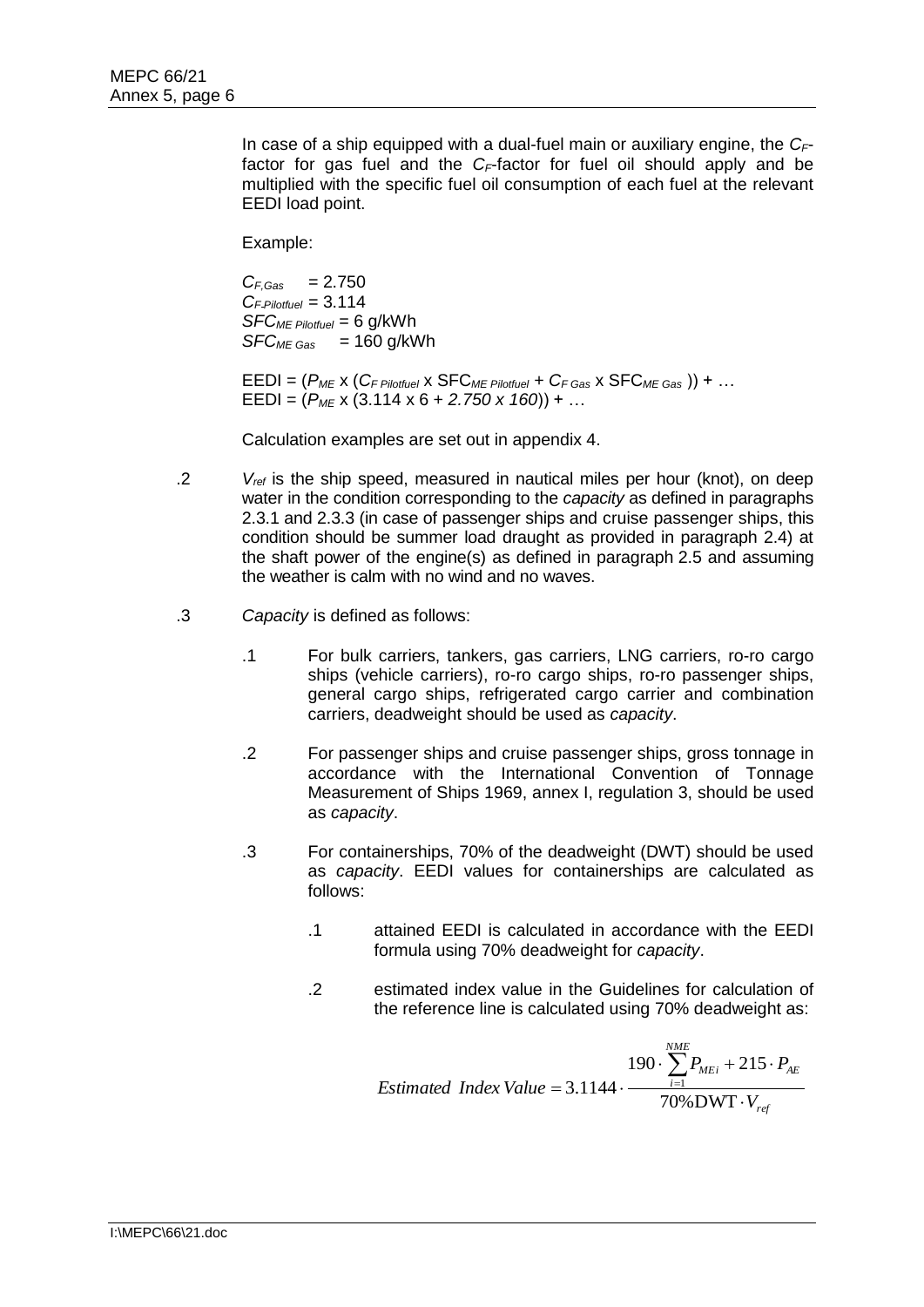In case of a ship equipped with a dual-fuel main or auxiliary engine, the *CF*factor for gas fuel and the *CF*-factor for fuel oil should apply and be multiplied with the specific fuel oil consumption of each fuel at the relevant EEDI load point.

Example:

*CF,Gas =* 2.750 *C<sup>F</sup> Pilotfuel =* 3.114 *SFCME Pilotfuel =* 6 g/kWh *SFCME Gas =* 160 g/kWh

EEDI = (*PME* x (*CF Pilotfuel* x SFC*ME Pilotfuel + CF Gas* x SFC*ME Gas* )) + … EEDI = (*PME* x (3.114 x 6 + *2.750 x 160*)) + …

Calculation examples are set out in appendix 4.

- .2 *Vref* is the ship speed, measured in nautical miles per hour (knot), on deep water in the condition corresponding to the *capacity* as defined in paragraphs 2.3.1 and 2.3.3 (in case of passenger ships and cruise passenger ships, this condition should be summer load draught as provided in paragraph 2.4) at the shaft power of the engine(s) as defined in paragraph 2.5 and assuming the weather is calm with no wind and no waves.
- .3 *Capacity* is defined as follows:
	- .1 For bulk carriers, tankers, gas carriers, LNG carriers, ro-ro cargo ships (vehicle carriers), ro-ro cargo ships, ro-ro passenger ships, general cargo ships, refrigerated cargo carrier and combination carriers, deadweight should be used as *capacity*.
	- .2 For passenger ships and cruise passenger ships, gross tonnage in accordance with the International Convention of Tonnage Measurement of Ships 1969, annex I, regulation 3, should be used as *capacity*.
	- .3 For containerships, 70% of the deadweight (DWT) should be used as *capacity*. EEDI values for containerships are calculated as follows:
		- .1 attained EEDI is calculated in accordance with the EEDI formula using 70% deadweight for *capacity*.
		- .2 estimated index value in the Guidelines for calculation of the reference line is calculated using 70% deadweight as:

*ref NME i ME<sub>i</sub>*  $\angle$   $\angle$  **1** $\angle$  *AE V*  $P_{MEi} + 215 \cdot P_{i}$ *Estimated Index Value* .  $\cdot$   $\sum P_{MEi}$  + 215  $\cdot$  70%DWT  $190 \cdot \sum P_{MEi} + 215$  $3.1144 \cdot \frac{i-1}{2}$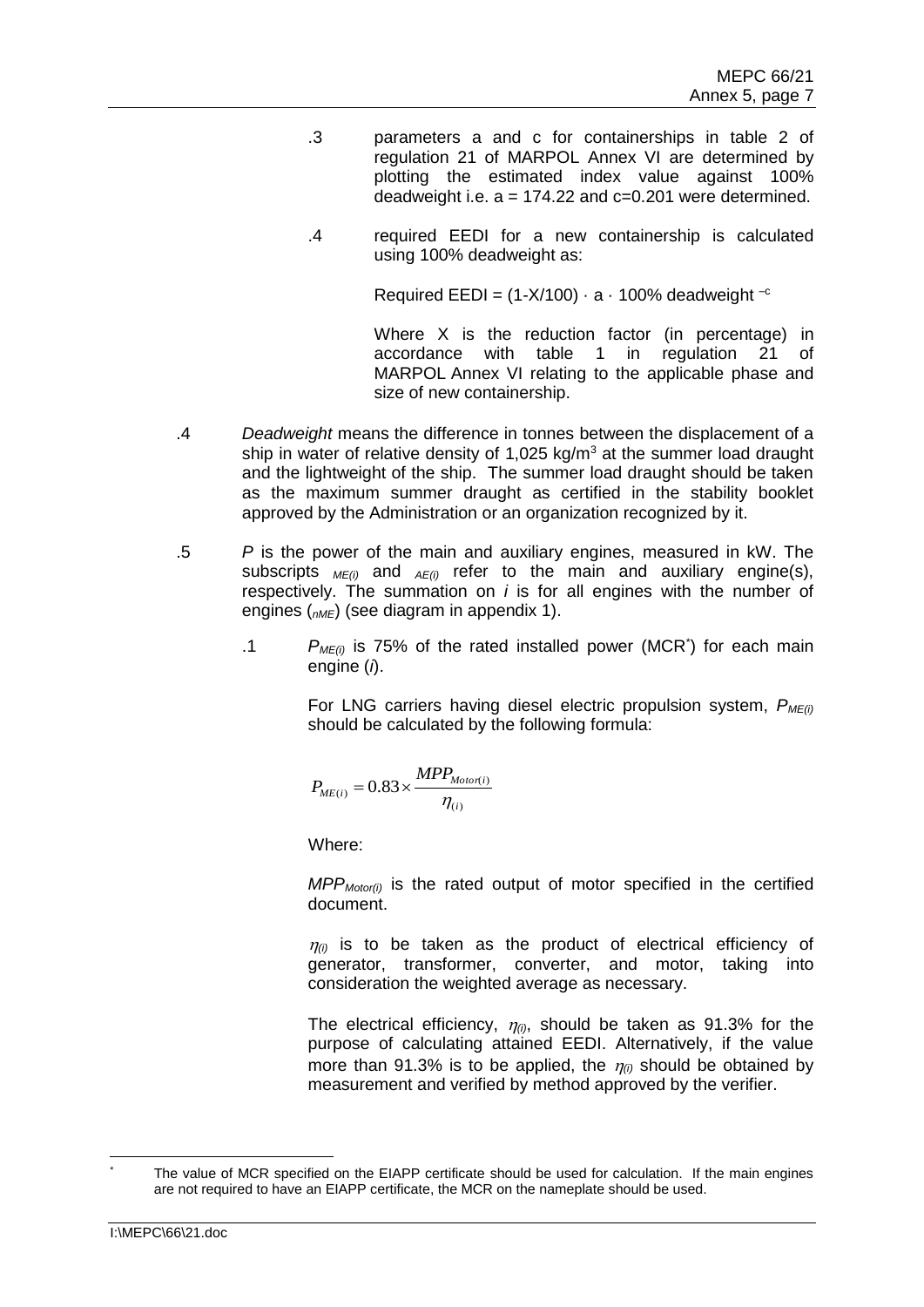- .3 parameters a and c for containerships in table 2 of regulation 21 of MARPOL Annex VI are determined by plotting the estimated index value against 100% deadweight i.e.  $a = 174.22$  and  $c = 0.201$  were determined.
- .4 required EEDI for a new containership is calculated using 100% deadweight as:

Required EEDI =  $(1-X/100) \cdot a \cdot 100\%$  deadweight  $^{-c}$ 

Where X is the reduction factor (in percentage) in accordance with table 1 in regulation 21 of MARPOL Annex VI relating to the applicable phase and size of new containership.

- .4 *Deadweight* means the difference in tonnes between the displacement of a ship in water of relative density of 1,025 kg/ $m<sup>3</sup>$  at the summer load draught and the lightweight of the ship. The summer load draught should be taken as the maximum summer draught as certified in the stability booklet approved by the Administration or an organization recognized by it.
- .5 *P* is the power of the main and auxiliary engines, measured in kW. The subscripts *ME(i)* and *AE(i)* refer to the main and auxiliary engine(s), respectively. The summation on *i* is for all engines with the number of engines (*nME*) (see diagram in appendix 1).
	- .1 *PME(i)* is 75% of the rated installed power (MCR\* ) for each main engine (*i*).

For LNG carriers having diesel electric propulsion system, *PME(i)* should be calculated by the following formula:

$$
P_{ME(i)} = 0.83 \times \frac{MPP_{Motor(i)}}{\eta_{(i)}}
$$

Where:

*MPPMotor(i)* is the rated output of motor specified in the certified document.

 $\eta_{(i)}$  is to be taken as the product of electrical efficiency of generator, transformer, converter, and motor, taking into consideration the weighted average as necessary.

The electrical efficiency,  $\eta_{(i)}$ , should be taken as 91.3% for the purpose of calculating attained EEDI. Alternatively, if the value more than 91.3% is to be applied, the  $\eta_{\theta}$  should be obtained by measurement and verified by method approved by the verifier.

The value of MCR specified on the EIAPP certificate should be used for calculation. If the main engines are not required to have an EIAPP certificate, the MCR on the nameplate should be used.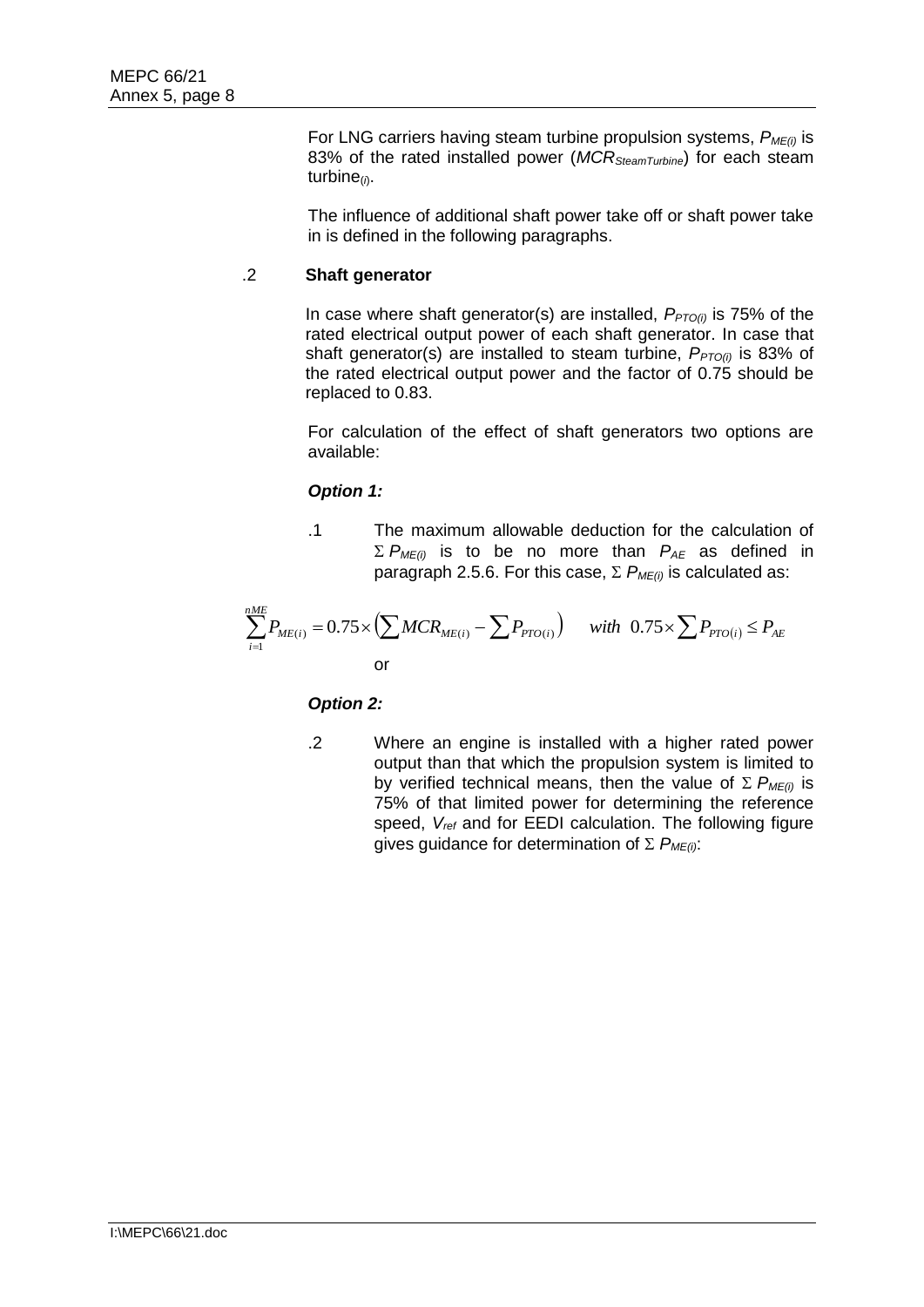For LNG carriers having steam turbine propulsion systems, *PME(i)* is 83% of the rated installed power (*MCRSteamTurbine*) for each steam turbine(*i*).

The influence of additional shaft power take off or shaft power take in is defined in the following paragraphs.

# .2 **Shaft generator**

In case where shaft generator(s) are installed,  $P_{PTO(i)}$  is 75% of the rated electrical output power of each shaft generator. In case that shaft generator(s) are installed to steam turbine,  $P_{PTO(i)}$  is 83% of the rated electrical output power and the factor of 0.75 should be replaced to 0.83.

For calculation of the effect of shaft generators two options are available:

# *Option 1:*

.1 The maximum allowable deduction for the calculation of  $\Sigma$  *P<sub>ME(i)</sub>* is to be no more than *P<sub>AE</sub>* as defined in paragraph 2.5.6. For this case,  $\Sigma$   $P_{ME(i)}$  is calculated as:

$$
\sum_{i=1}^{nME} P_{ME(i)} = 0.75 \times \left( \sum MCR_{ME(i)} - \sum P_{PTO(i)} \right) \quad \text{with} \quad 0.75 \times \sum P_{PTO(i)} \le P_{AE}
$$

## *Option 2:*

.2 Where an engine is installed with a higher rated power output than that which the propulsion system is limited to by verified technical means, then the value of  $\Sigma P_{MF(i)}$  is 75% of that limited power for determining the reference speed, *Vref* and for EEDI calculation. The following figure gives quidance for determination of  $\Sigma$   $P_{MF(i)}$ :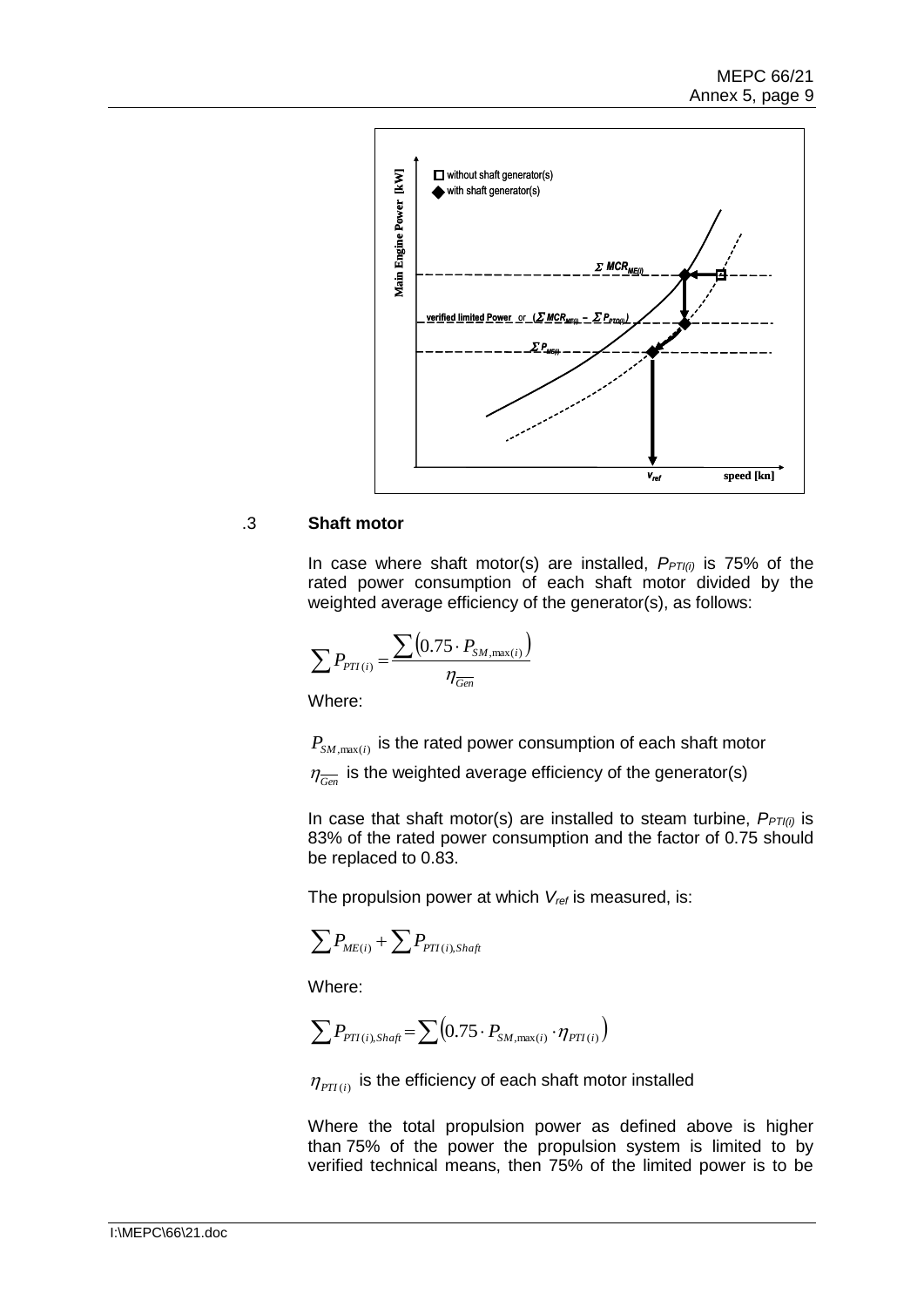

## .3 **Shaft motor**

In case where shaft motor(s) are installed, *PPTI(i)* is 75% of the rated power consumption of each shaft motor divided by the weighted average efficiency of the generator(s), as follows:

$$
\sum P_{PT(i)} = \frac{\sum (0.75 \cdot P_{SM,\max(i)})}{\eta_{\overline{Gen}}}
$$

Where:

 $P_{\textit{SM},\text{max}(i)}$  is the rated power consumption of each shaft motor

 $\eta_{\overline{Gen}}$  is the weighted average efficiency of the generator(s)

In case that shaft motor(s) are installed to steam turbine, *PPTI(i)* is 83% of the rated power consumption and the factor of 0.75 should be replaced to 0.83.

The propulsion power at which *Vref* is measured, is:

$$
\sum P_{ME(i)} + \sum P_{PTI(i),Shaft}
$$

Where:

$$
\sum P_{PTI(i),Shaft} = \sum (0.75 \cdot P_{SM,max(i)} \cdot \eta_{PTI(i)})
$$

 $\eta_{PTI(i)}$  is the efficiency of each shaft motor installed

Where the total propulsion power as defined above is higher than 75% of the power the propulsion system is limited to by verified technical means, then 75% of the limited power is to be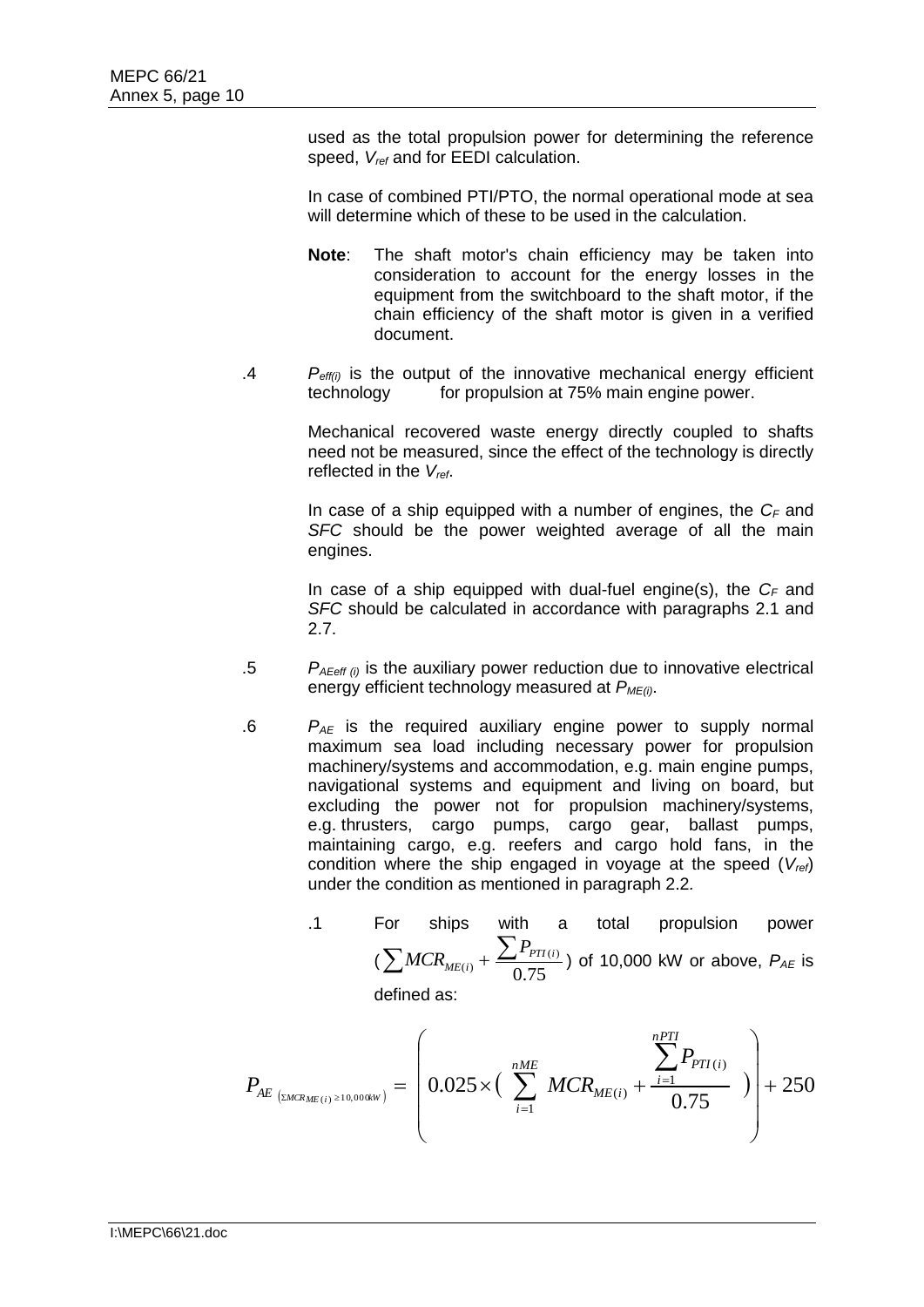used as the total propulsion power for determining the reference speed, *Vref* and for EEDI calculation.

In case of combined PTI/PTO, the normal operational mode at sea will determine which of these to be used in the calculation.

- **Note**: The shaft motor's chain efficiency may be taken into consideration to account for the energy losses in the equipment from the switchboard to the shaft motor, if the chain efficiency of the shaft motor is given in a verified document.
- .4 *Peff(i)* is the output of the innovative mechanical energy efficient technology for propulsion at 75% main engine power.

Mechanical recovered waste energy directly coupled to shafts need not be measured, since the effect of the technology is directly reflected in the *Vref*.

In case of a ship equipped with a number of engines, the *C<sup>F</sup>* and *SFC* should be the power weighted average of all the main engines.

In case of a ship equipped with dual-fuel engine(s), the *C<sup>F</sup>* and *SFC* should be calculated in accordance with paragraphs 2.1 and 2.7.

- $P_{A\text{Eeff (i)}}$  is the auxiliary power reduction due to innovative electrical energy efficient technology measured at *PME(i)*.
- $P_{AF}$  is the required auxiliary engine power to supply normal maximum sea load including necessary power for propulsion machinery/systems and accommodation, e.g. main engine pumps, navigational systems and equipment and living on board, but excluding the power not for propulsion machinery/systems, e.g. thrusters, cargo pumps, cargo gear, ballast pumps, maintaining cargo, e.g. reefers and cargo hold fans, in the condition where the ship engaged in voyage at the speed (*Vref*) under the condition as mentioned in paragraph 2.2*.*

.1 For ships with a total population power 
$$
(\sum MCR_{ME(i)} + \frac{\sum P_{PT(i)}}{0.75})
$$
 of 10,000 kW or above,  $P_{AE}$  is

defined as:

$$
P_{AE_{\text{ZMC}(i) \geq 10,000kW})} = \left(0.025 \times \left(\sum_{i=1}^{nME} MCR_{ME(i)} + \frac{\sum_{i=1}^{nPTI} P_{PTI(i)}}{0.75}\right)\right) + 250
$$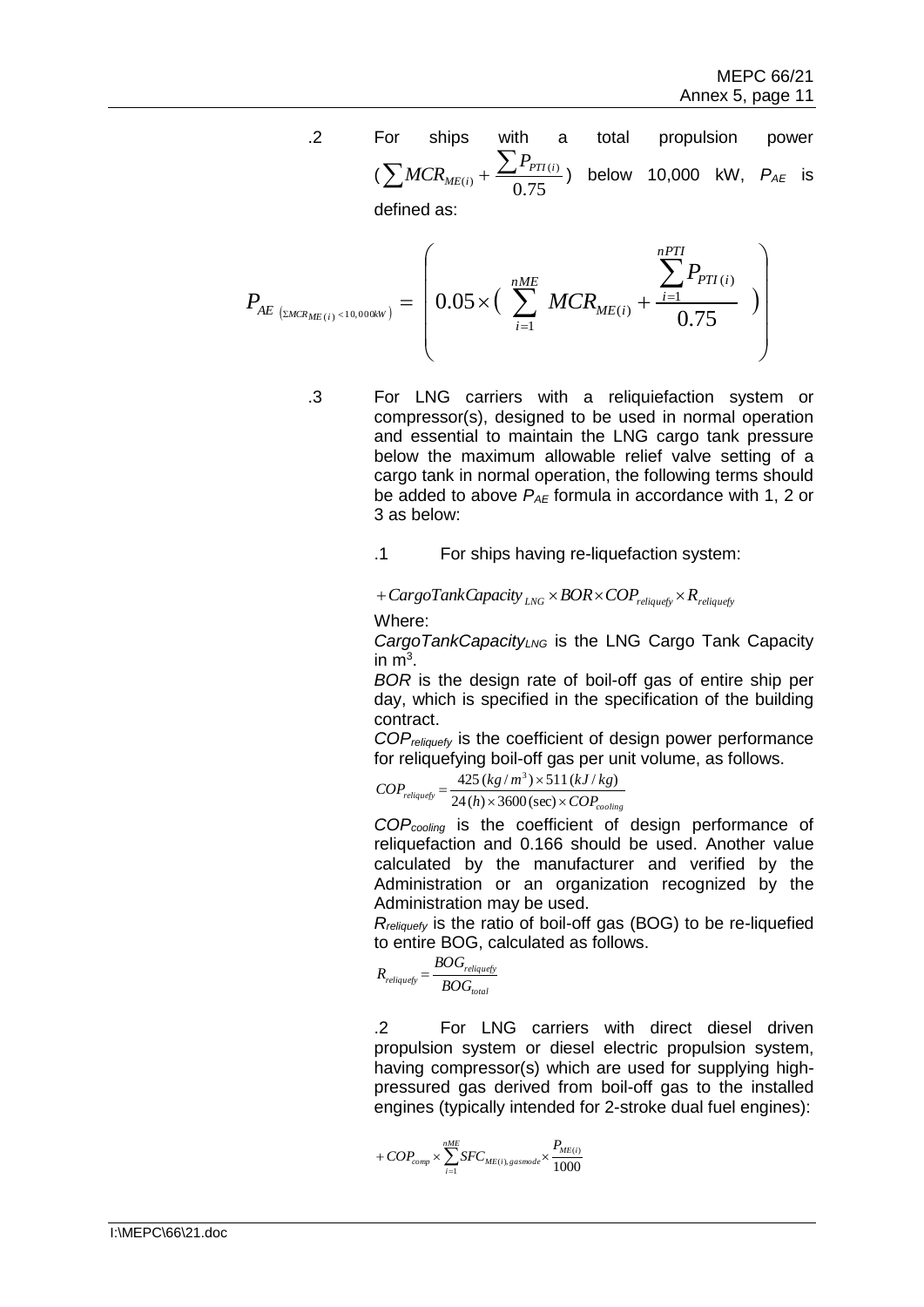.2 For ships with a total propulsion power  $(\sum MCR_{ME(i)} + \frac{\sum F_{PTI}}{0.75})$  $\frac{\sum P_{PT(i)}}{\sum_{i=1}^{n} P_{T(i)}}$  below 10,000 kW,  $P_{AE}$  is

defined as:

$$
P_{AE_{(EMCR_{ME}(i) < 10,000kW)}} = \left(0.05 \times \left(\sum_{i=1}^{nME} MCR_{ME(i)} + \frac{\sum_{i=1}^{nPTI} P_{PTI(i)}}{0.75}\right)\right)
$$

.3 For LNG carriers with a reliquiefaction system or compressor(s), designed to be used in normal operation and essential to maintain the LNG cargo tank pressure below the maximum allowable relief valve setting of a cargo tank in normal operation, the following terms should be added to above  $P_{AE}$  formula in accordance with 1, 2 or 3 as below:

.1 For ships having re-liquefaction system:

 $+ CargoTankCapacity$   $_{ING} \times BOR \times COP$ <sub>reliquefy</sub>  $\times R$ <sub>reliquefy</sub>

## Where:

*CargoTankCapacityLNG* is the LNG Cargo Tank Capacity in  $m^3$ .

*BOR* is the design rate of boil-off gas of entire ship per day, which is specified in the specification of the building contract.

*COPreliquefy* is the coefficient of design power performance for reliquefying boil-off gas per unit volume, as follows.

$$
COPreliquesfs = \frac{425 (kg/m3) \times 511 (kJ/kg)}{24 (h) \times 3600 (\text{sec}) \times COPcooling}
$$

*COPcooling* is the coefficient of design performance of reliquefaction and 0.166 should be used. Another value calculated by the manufacturer and verified by the Administration or an organization recognized by the Administration may be used.

*Rreliquefy* is the ratio of boil-off gas (BOG) to be re-liquefied to entire BOG, calculated as follows.

$$
R_{reliquefy} = \frac{BOG_{reliquefy}}{BOG_{total}}
$$

.2 For LNG carriers with direct diesel driven propulsion system or diesel electric propulsion system, having compressor(s) which are used for supplying highpressured gas derived from boil-off gas to the installed engines (typically intended for 2-stroke dual fuel engines):

$$
+ COP_{comp} \times \sum_{i=1}^{nME} SFC_{ME(i), gasmode} \times \frac{P_{ME(i)}}{1000}
$$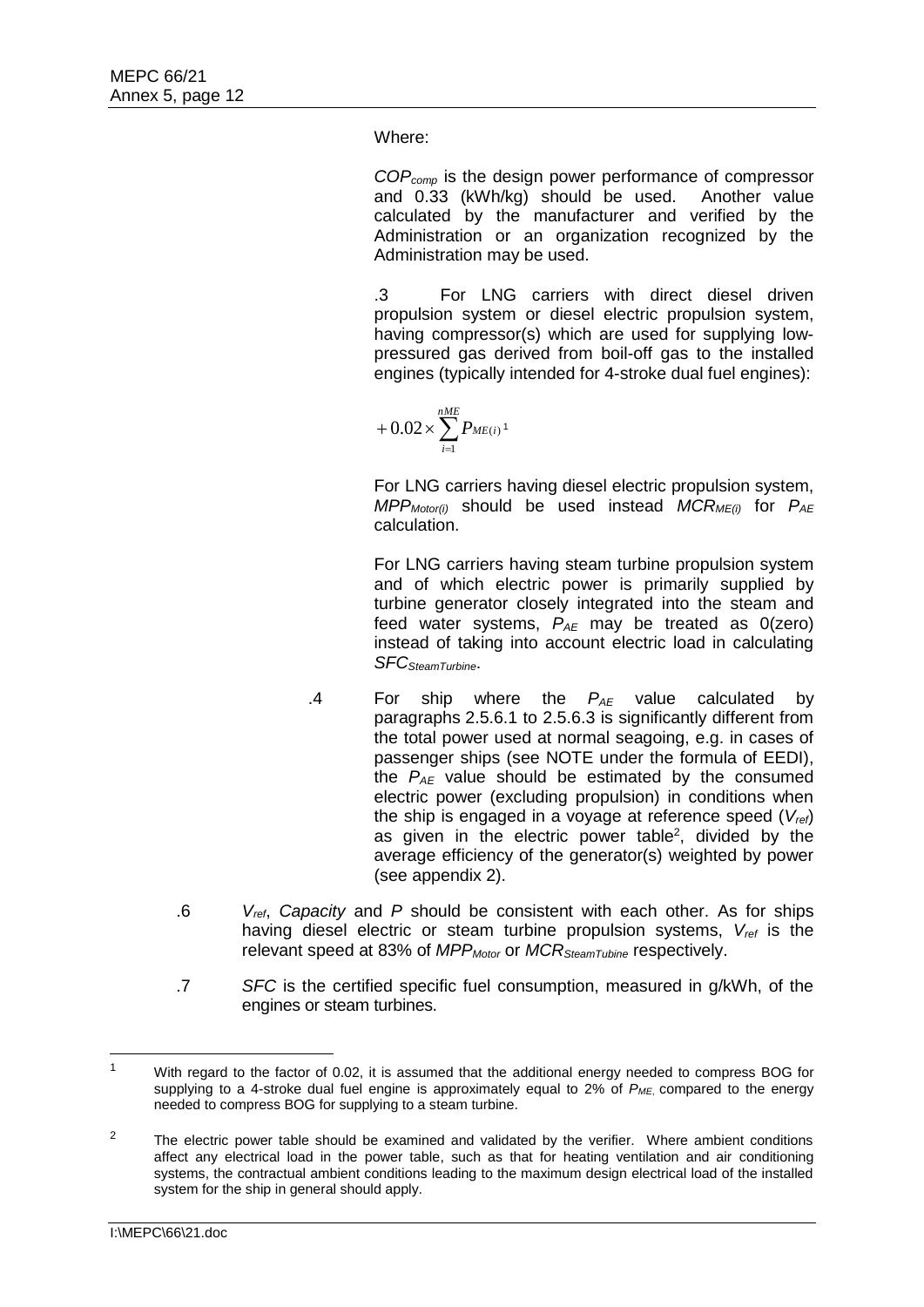Where:

*COPcomp* is the design power performance of compressor and 0.33 (kWh/kg) should be used. Another value calculated by the manufacturer and verified by the Administration or an organization recognized by the Administration may be used.

.3 For LNG carriers with direct diesel driven propulsion system or diesel electric propulsion system, having compressor(s) which are used for supplying lowpressured gas derived from boil-off gas to the installed engines (typically intended for 4-stroke dual fuel engines):

$$
~~+ 0.02\!\times\!\sum_{i=1}^{nME}P_{ME(i)}\!~^{1}
$$

For LNG carriers having diesel electric propulsion system, *MPPMotor(i)* should be used instead *MCRME(i)* for *PAE* calculation.

For LNG carriers having steam turbine propulsion system and of which electric power is primarily supplied by turbine generator closely integrated into the steam and feed water systems, *PAE* may be treated as 0(zero) instead of taking into account electric load in calculating *SFCSteamTurbine*.

- .4 For ship where the *PAE* value calculated by paragraphs 2.5.6.1 to 2.5.6.3 is significantly different from the total power used at normal seagoing, e.g. in cases of passenger ships (see NOTE under the formula of EEDI), the *PAE* value should be estimated by the consumed electric power (excluding propulsion) in conditions when the ship is engaged in a voyage at reference speed (*Vref*) as given in the electric power table<sup>2</sup>, divided by the average efficiency of the generator(s) weighted by power (see appendix 2).
- .6 *Vref*, *Capacity* and *P* should be consistent with each other. As for ships having diesel electric or steam turbine propulsion systems, *Vref* is the relevant speed at 83% of *MPPMotor* or *MCRSteamTubine* respectively.
- .7 *SFC* is the certified specific fuel consumption, measured in g/kWh, of the engines or steam turbines.

<sup>&</sup>lt;sup>1</sup> With regard to the factor of 0.02, it is assumed that the additional energy needed to compress BOG for supplying to a 4-stroke dual fuel engine is approximately equal to 2% of *PME*, compared to the energy needed to compress BOG for supplying to a steam turbine.

 $2^2$  The electric power table should be examined and validated by the verifier. Where ambient conditions affect any electrical load in the power table, such as that for heating ventilation and air conditioning systems, the contractual ambient conditions leading to the maximum design electrical load of the installed system for the ship in general should apply.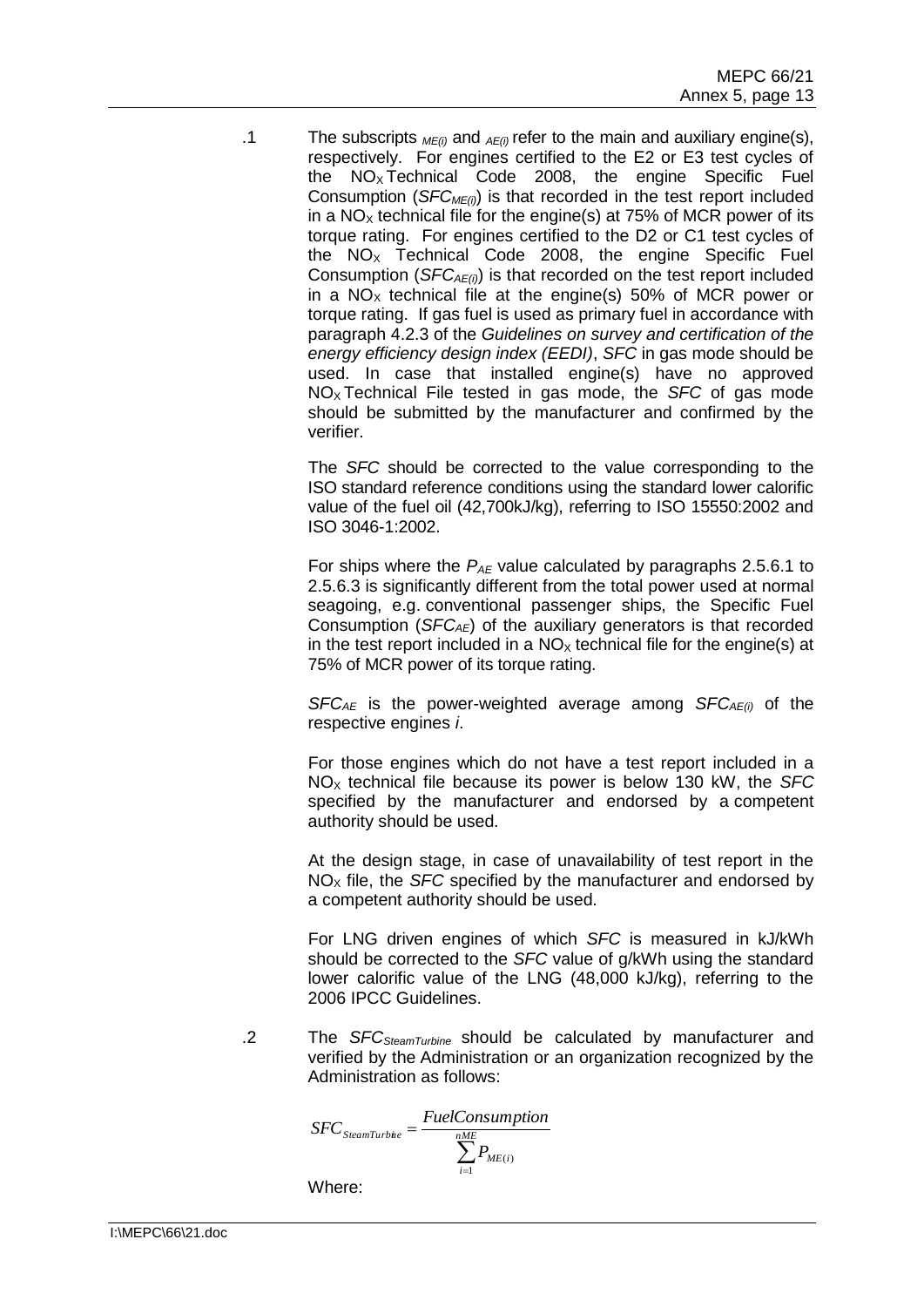.1 The subscripts *ME(i)* and *AE(i)* refer to the main and auxiliary engine(s), respectively. For engines certified to the E2 or E3 test cycles of the  $NO<sub>x</sub>$  Technical Code 2008, the engine Specific Fuel Consumption (*SFCME(i)*) is that recorded in the test report included in a  $NO<sub>x</sub>$  technical file for the engine(s) at 75% of MCR power of its torque rating. For engines certified to the D2 or C1 test cycles of the  $NO<sub>x</sub>$  Technical Code 2008, the engine Specific Fuel Consumption (*SFCAE(i)*) is that recorded on the test report included in a  $NO<sub>x</sub>$  technical file at the engine(s) 50% of MCR power or torque rating. If gas fuel is used as primary fuel in accordance with paragraph 4.2.3 of the *Guidelines on survey and certification of the energy efficiency design index (EEDI)*, *SFC* in gas mode should be used. In case that installed engine(s) have no approved NO<sup>X</sup> Technical File tested in gas mode, the *SFC* of gas mode should be submitted by the manufacturer and confirmed by the verifier.

> The *SFC* should be corrected to the value corresponding to the ISO standard reference conditions using the standard lower calorific value of the fuel oil (42,700kJ/kg), referring to ISO 15550:2002 and ISO 3046-1:2002.

> For ships where the *P<sub>AE</sub>* value calculated by paragraphs 2.5.6.1 to 2.5.6.3 is significantly different from the total power used at normal seagoing, e.g. conventional passenger ships, the Specific Fuel Consumption (*SFCAE*) of the auxiliary generators is that recorded in the test report included in a  $NO<sub>x</sub>$  technical file for the engine(s) at 75% of MCR power of its torque rating.

> *SFCAE* is the power-weighted average among *SFCAE(i)* of the respective engines *i*.

> For those engines which do not have a test report included in a NO<sup>X</sup> technical file because its power is below 130 kW, the *SFC* specified by the manufacturer and endorsed by a competent authority should be used.

> At the design stage, in case of unavailability of test report in the  $NO<sub>x</sub>$  file, the *SFC* specified by the manufacturer and endorsed by a competent authority should be used.

> For LNG driven engines of which *SFC* is measured in kJ/kWh should be corrected to the *SFC* value of g/kWh using the standard lower calorific value of the LNG (48,000 kJ/kg), referring to the 2006 IPCC Guidelines.

.2 The *SFCSteamTurbine* should be calculated by manufacturer and verified by the Administration or an organization recognized by the Administration as follows:

$$
SFC_{SteamTurbie} = \frac{FuelConsumption}{\sum_{i=1}^{nME} P_{ME(i)}}
$$

Where: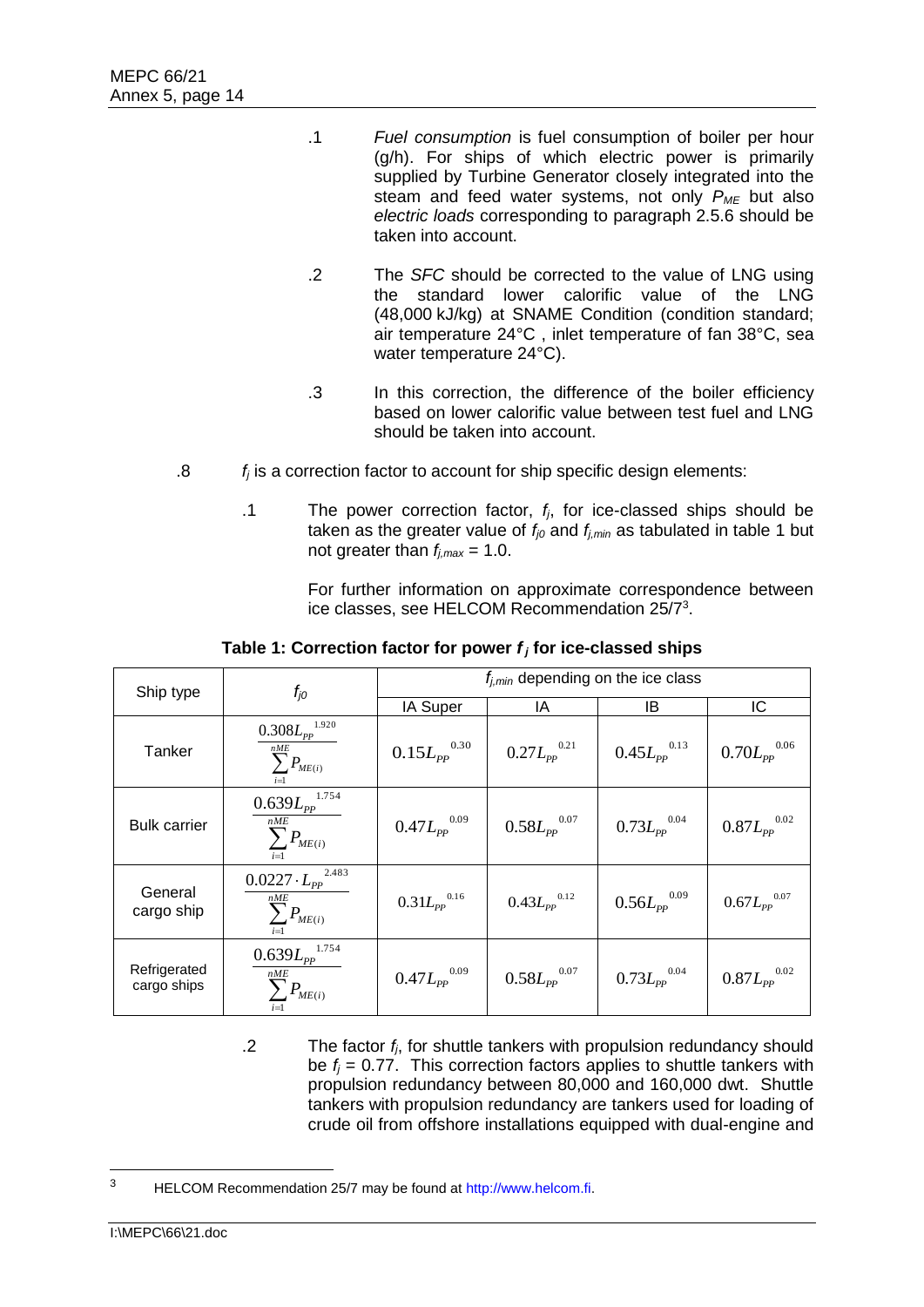- .1 *Fuel consumption* is fuel consumption of boiler per hour (g/h). For ships of which electric power is primarily supplied by Turbine Generator closely integrated into the steam and feed water systems, not only *PME* but also *electric loads* corresponding to paragraph 2.5.6 should be taken into account.
- .2 The *SFC* should be corrected to the value of LNG using the standard lower calorific value of the LNG (48,000 kJ/kg) at SNAME Condition (condition standard; air temperature 24°C , inlet temperature of fan 38°C, sea water temperature 24°C).
- .3 In this correction, the difference of the boiler efficiency based on lower calorific value between test fuel and LNG should be taken into account.
- .8 *f<sup>j</sup>* is a correction factor to account for ship specific design elements:
	- .1 The power correction factor, *fj*, for ice-classed ships should be taken as the greater value of  $f_{j0}$  and  $f_{j,min}$  as tabulated in table 1 but not greater than  $f_{i,max} = 1.0$ .

For further information on approximate correspondence between ice classes, see HELCOM Recommendation 25/7<sup>3</sup>.

| Ship type                   | $f_{jO}$                                                                      | $f_{i,min}$ depending on the ice class                       |                                                              |                                                              |                                                              |  |  |  |  |
|-----------------------------|-------------------------------------------------------------------------------|--------------------------------------------------------------|--------------------------------------------------------------|--------------------------------------------------------------|--------------------------------------------------------------|--|--|--|--|
|                             |                                                                               | IA Super                                                     | ΙA                                                           | IB                                                           | IC                                                           |  |  |  |  |
| Tanker                      | 1.920<br>$0.308L_{pp}$<br>nME<br>$\sum P_{ME(i)}$<br>$i=1$                    | $0.15 {L_{\text{\it PP}}}^{0.30}$                            | $0.27 {L_{\mathrm{\scriptscriptstyle{PP}}}}^{\mathrm{0.21}}$ | $0.45 {L_{\mathrm{\scriptscriptstyle{PP}}}}^{\mathrm{0.13}}$ | $0.70 {L_{\mathrm{\scriptscriptstyle{PP}}}^{0.06}}$          |  |  |  |  |
| <b>Bulk carrier</b>         | $\underline{0.639}L_{pp}^{1.754}$<br>nME<br>$\sum P_{ME(i)}$                  | $0.47 {L_{\mathrm{\scriptscriptstyle{PP}}}}^{\mathrm{0.09}}$ | $0.58 {L_{pp}}^{0.07}$                                       | $0.73 {L_{pp}}^{0.04}$                                       | $0.87 {L_{pp}}^{0.02}$                                       |  |  |  |  |
| General<br>cargo ship       | 2.483<br>$0.0227 \cdot L_{pp}^2$<br>$\sum^{nME} P_{ME(i)}$<br>$i=1$           | $0.31L_{pp}$ <sup>0.16</sup>                                 | $0.43 {L_{\scriptscriptstyle{PP}}}^{0.12}$                   | $0.56 {L_{\tiny PP}}^{0.09}$                                 | $0.67 {L_{\mathrm{\scriptscriptstyle{PP}}}}^{\mathrm{0.07}}$ |  |  |  |  |
| Refrigerated<br>cargo ships | $0.639 L_{pp}^{1.754}$<br>nME<br>$\sum P_{\scriptscriptstyle ME(i)}$<br>$i=1$ | $0.47 {L_{\mathrm{\scriptscriptstyle{PP}}}}^{\mathrm{0.09}}$ | $0.58 {L_{pp}}^{0.07}$                                       | $0.73 {L_{pp}}^{0.04}$                                       | $0.87 {L_{\mathrm{\scriptscriptstyle{PP}}}}^{\mathrm{0.02}}$ |  |  |  |  |

**Table 1: Correction factor for power** *f <sup>j</sup>* **for ice-classed ships**

.2 The factor *fj*, for shuttle tankers with propulsion redundancy should be  $f_i = 0.77$ . This correction factors applies to shuttle tankers with propulsion redundancy between 80,000 and 160,000 dwt. Shuttle tankers with propulsion redundancy are tankers used for loading of crude oil from offshore installations equipped with dual-engine and

 $\overline{a}$ 

<sup>3</sup> HELCOM Recommendation 25/7 may be found at [http://www.helcom.fi.](http://www.helcom.fi/)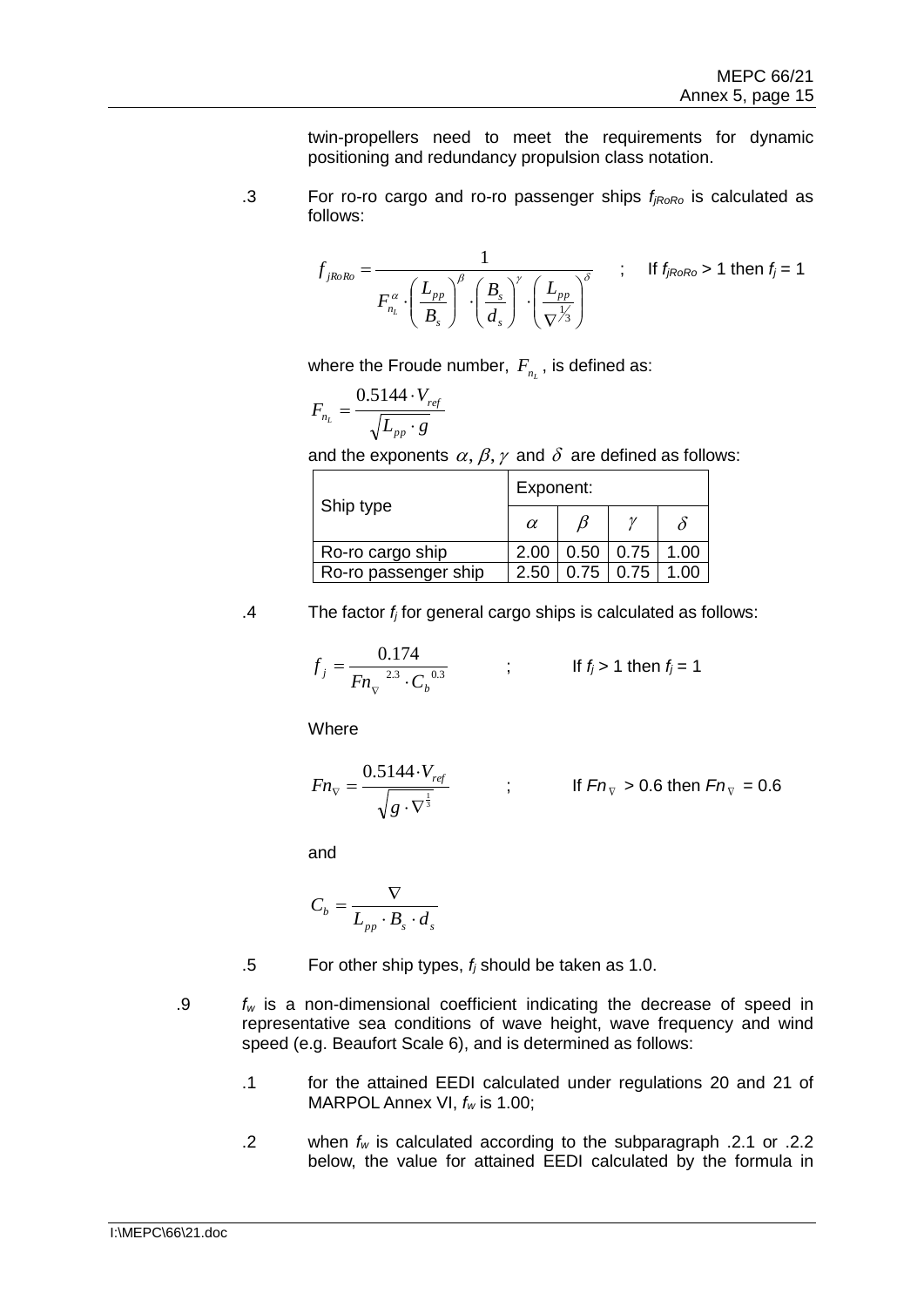twin-propellers need to meet the requirements for dynamic positioning and redundancy propulsion class notation.

.3 For ro-ro cargo and ro-ro passenger ships *fjRoRo* is calculated as follows:

$$
f_{jk\circ Ro} = \frac{1}{F_{n_L}^{\alpha} \cdot \left(\frac{L_{pp}}{B_s}\right)^{\beta} \cdot \left(\frac{B_s}{d_s}\right)^{\gamma} \cdot \left(\frac{L_{pp}}{\nabla^{1/3}}\right)^{\delta}} \qquad ; \qquad \text{If } f_{jk\circ Ro} > 1 \text{ then } f_j = 1
$$

where the Froude number,  $F_{_{n_L}}$ , is defined as:

$$
F_{n_L} = \frac{0.5144 \cdot V_{ref}}{\sqrt{L_{pp} \cdot g}}
$$

and the exponents  $\alpha, \beta, \gamma$  and  $\delta$  are defined as follows:

|                      | Exponent: |      |      |      |  |  |  |
|----------------------|-----------|------|------|------|--|--|--|
| Ship type            | $\alpha$  |      |      |      |  |  |  |
| Ro-ro cargo ship     | 2.00      | 0.50 | 0.75 | 1.00 |  |  |  |
| Ro-ro passenger ship | 2.50      | 0.75 | 0.75 | 1 በበ |  |  |  |

.4 The factor *f<sup>j</sup>* for general cargo ships is calculated as follows:

$$
f_j = \frac{0.174}{F n_v^{2.3} \cdot C_b^{0.3}} \qquad ; \qquad \text{If } f_j > 1 \text{ then } f_j = 1
$$

Where

$$
Fn_{\nabla} = \frac{0.5144 \cdot V_{ref}}{\sqrt{g \cdot \nabla^{\frac{1}{3}}}}
$$
 ; \t\t\t If  $Fn_{\nabla} > 0.6$  then  $Fn_{\nabla} = 0.6$ 

and

$$
C_b = \frac{\nabla}{L_{pp} \cdot B_s \cdot d_s}
$$

.5 For other ship types, *f<sup>j</sup>* should be taken as 1.0.

- .9 *f<sup>w</sup>* is a non-dimensional coefficient indicating the decrease of speed in representative sea conditions of wave height, wave frequency and wind speed (e.g. Beaufort Scale 6), and is determined as follows:
	- .1 for the attained EEDI calculated under regulations 20 and 21 of MARPOL Annex VI, *f<sup>w</sup>* is 1.00;
	- .2 when *f<sup>w</sup>* is calculated according to the subparagraph .2.1 or .2.2 below, the value for attained EEDI calculated by the formula in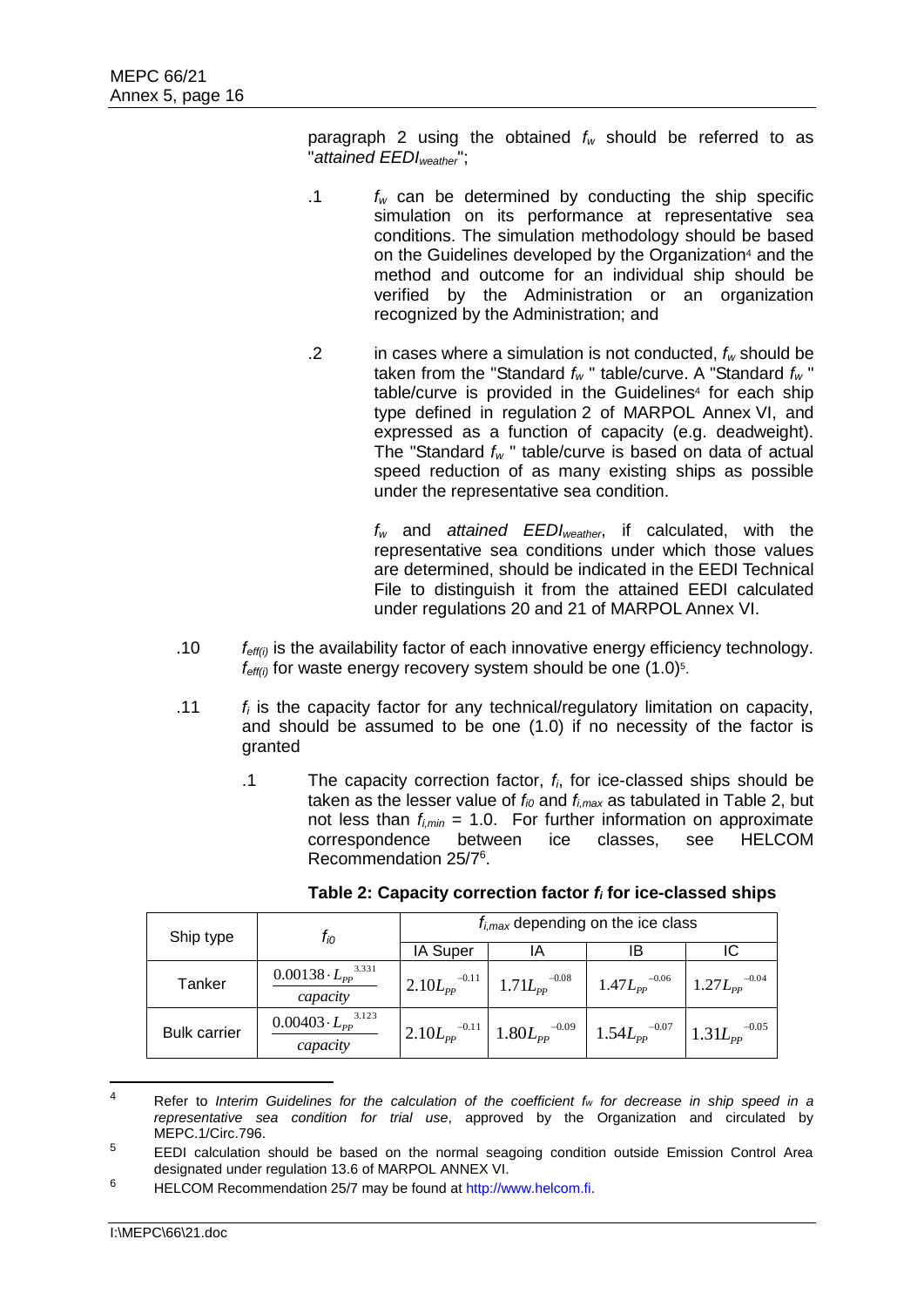paragraph 2 using the obtained *f<sup>w</sup>* should be referred to as "*attained EEDIweather*";

- .1 *f<sup>w</sup>* can be determined by conducting the ship specific simulation on its performance at representative sea conditions. The simulation methodology should be based on the Guidelines developed by the Organization<sup>4</sup> and the method and outcome for an individual ship should be verified by the Administration or an organization recognized by the Administration; and
- .2 in cases where a simulation is not conducted, *f<sup>w</sup>* should be taken from the "Standard *f<sup>w</sup>* " table/curve. A "Standard *f<sup>w</sup>* " table/curve is provided in the Guidelines<sup>4</sup> for each ship type defined in regulation 2 of MARPOL Annex VI, and expressed as a function of capacity (e.g. deadweight). The "Standard *f<sup>w</sup>* " table/curve is based on data of actual speed reduction of as many existing ships as possible under the representative sea condition.

*f<sup>w</sup>* and *attained EEDIweather*, if calculated, with the representative sea conditions under which those values are determined, should be indicated in the EEDI Technical File to distinguish it from the attained EEDI calculated under regulations 20 and 21 of MARPOL Annex VI.

- .10 *feff(i)* is the availability factor of each innovative energy efficiency technology.  $f_{\text{eff}(i)}$  for waste energy recovery system should be one  $(1.0)^5$ .
- .11 *f<sup>i</sup>* is the capacity factor for any technical/regulatory limitation on capacity, and should be assumed to be one (1.0) if no necessity of the factor is granted
	- .1 The capacity correction factor, *fi*, for ice-classed ships should be taken as the lesser value of  $f_{i0}$  and  $f_{i,max}$  as tabulated in Table 2, but not less than  $f_{i,min} = 1.0$ . For further information on approximate correspondence between ice classes, see HELCOM Recommendation 25/7<sup>6</sup> .

| Ship type           | $t_{i0}$                                   | $f_{i,max}$ depending on the ice class |                               |                       |                       |  |  |  |
|---------------------|--------------------------------------------|----------------------------------------|-------------------------------|-----------------------|-----------------------|--|--|--|
|                     |                                            | IA Super                               | ΙA                            | IB                    |                       |  |  |  |
| Tanker              | $0.00138 \cdot L_{pp}^{3.331}$<br>capacity | $-0.11$<br>$2.10L_{pp}$                | $1.71L_{pp}$ <sup>-0.08</sup> | $1.47 L_{pp}^{-0.06}$ | $1.27 L_{pp}^{-0.04}$ |  |  |  |
| <b>Bulk carrier</b> | $0.00403 \cdot L_{pp}^{3.123}$<br>capacity | $2.10L_{pp}^{-0.11}$                   | $1.80 {L_{pp}}^{-0.09}$       | $1.54L_{pp}^{-0.07}$  | $1.31L_{pp}^{-0.05}$  |  |  |  |

**Table 2: Capacity correction factor** *f<sup>i</sup>* **for ice-classed ships**

 $\overline{a}$ 

<sup>4</sup> Refer to *Interim Guidelines for the calculation of the coefficient f<sup>w</sup> for decrease in ship speed in a representative sea condition for trial use*, approved by the Organization and circulated by MEPC.1/Circ.796.

<sup>&</sup>lt;sup>5</sup> EEDI calculation should be based on the normal seagoing condition outside Emission Control Area designated under regulation 13.6 of MARPOL ANNEX VI.

<sup>6</sup> HELCOM Recommendation 25/7 may be found at [http://www.helcom.fi.](http://www.helcom.fi/)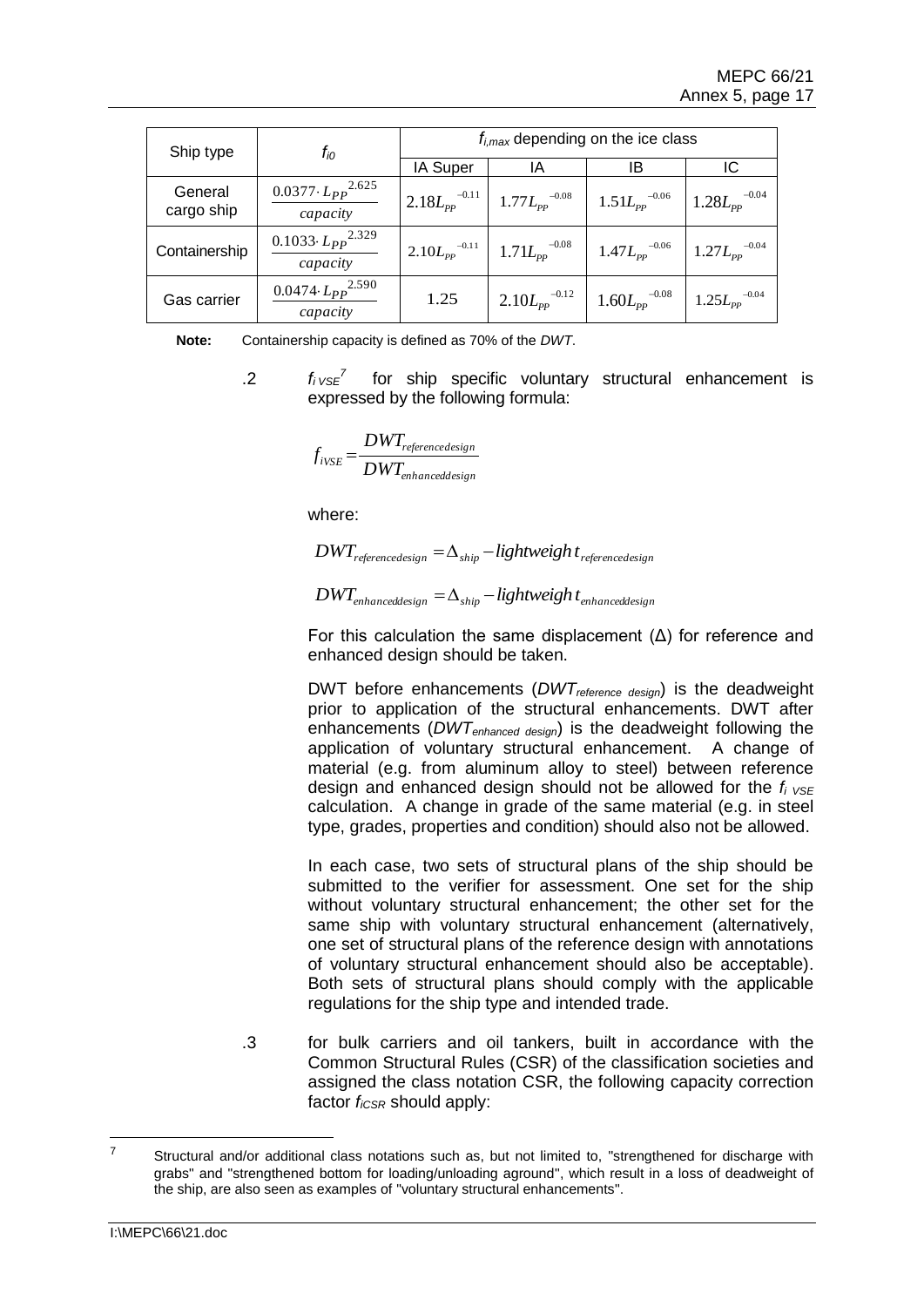| Ship type             | $f_{i0}$                                  | $f_{i,max}$ depending on the ice class |                                            |                                                     |                                                      |  |  |  |
|-----------------------|-------------------------------------------|----------------------------------------|--------------------------------------------|-----------------------------------------------------|------------------------------------------------------|--|--|--|
|                       |                                           | IA Super                               | ΙA                                         | IB                                                  |                                                      |  |  |  |
| General<br>cargo ship | $0.0377 \cdot L_{PP}^{2.625}$<br>capacity | $2.18L_{pp}$ <sup>-0.11</sup> 1        | $1.77 {L_{pp}}^{-0.08}$                    | $1.51 {L_{\mathrm{\scriptscriptstyle PP}}}^{-0.06}$ | $1.28 {L_{pp}}^{-0.04}$                              |  |  |  |
| Containership         | $0.1033 \cdot L_{PP}^{2.329}$<br>capacity | $2.10L_{pp}$ <sup>-0.11</sup>          | $1.71L_{\scriptscriptstyle{pp}}{}^{-0.08}$ | $1.47 {L_{pp}}^{-0.06}$                             | $1.27 {L_{pp}}^{-0.04}$                              |  |  |  |
| Gas carrier           | 0.0474 $\cdot L_{PP}^{2.590}$<br>capacity | 1.25                                   | $2.10L_{pp}$ <sup>-0.12</sup>              | $1.60 {L_{pp}}^{-0.08}$                             | $1.25 {L_{\mathrm{\scriptscriptstyle{PP}}}}^{-0.04}$ |  |  |  |

**Note:** Containership capacity is defined as 70% of the *DWT*.

 $f_i v_{SE}^7$  for ship specific voluntary structural enhancement is expressed by the following formula:

$$
f_{iVSE} = \frac{DWT_{reference design}}{DWT_{enhanced design}}
$$

where:

 $DWT_{reference design} = \Delta_{ship} - lightweight$  *referencedesign* 

 $DWT_{enhanced design} = \Delta_{ship} - lightweight$  *t*<sub>enhanceddesign</sub>

For this calculation the same displacement  $(\Delta)$  for reference and enhanced design should be taken.

DWT before enhancements (*DWTreference design*) is the deadweight prior to application of the structural enhancements. DWT after enhancements (*DWTenhanced design*) is the deadweight following the application of voluntary structural enhancement. A change of material (e.g. from aluminum alloy to steel) between reference design and enhanced design should not be allowed for the *fi VSE* calculation. A change in grade of the same material (e.g. in steel type, grades, properties and condition) should also not be allowed.

In each case, two sets of structural plans of the ship should be submitted to the verifier for assessment. One set for the ship without voluntary structural enhancement; the other set for the same ship with voluntary structural enhancement (alternatively, one set of structural plans of the reference design with annotations of voluntary structural enhancement should also be acceptable). Both sets of structural plans should comply with the applicable regulations for the ship type and intended trade.

.3 for bulk carriers and oil tankers, built in accordance with the Common Structural Rules (CSR) of the classification societies and assigned the class notation CSR, the following capacity correction factor  $f_{iCSR}$  should apply:

 $\overline{z}$ Structural and/or additional class notations such as, but not limited to, "strengthened for discharge with grabs" and "strengthened bottom for loading/unloading aground", which result in a loss of deadweight of the ship, are also seen as examples of "voluntary structural enhancements".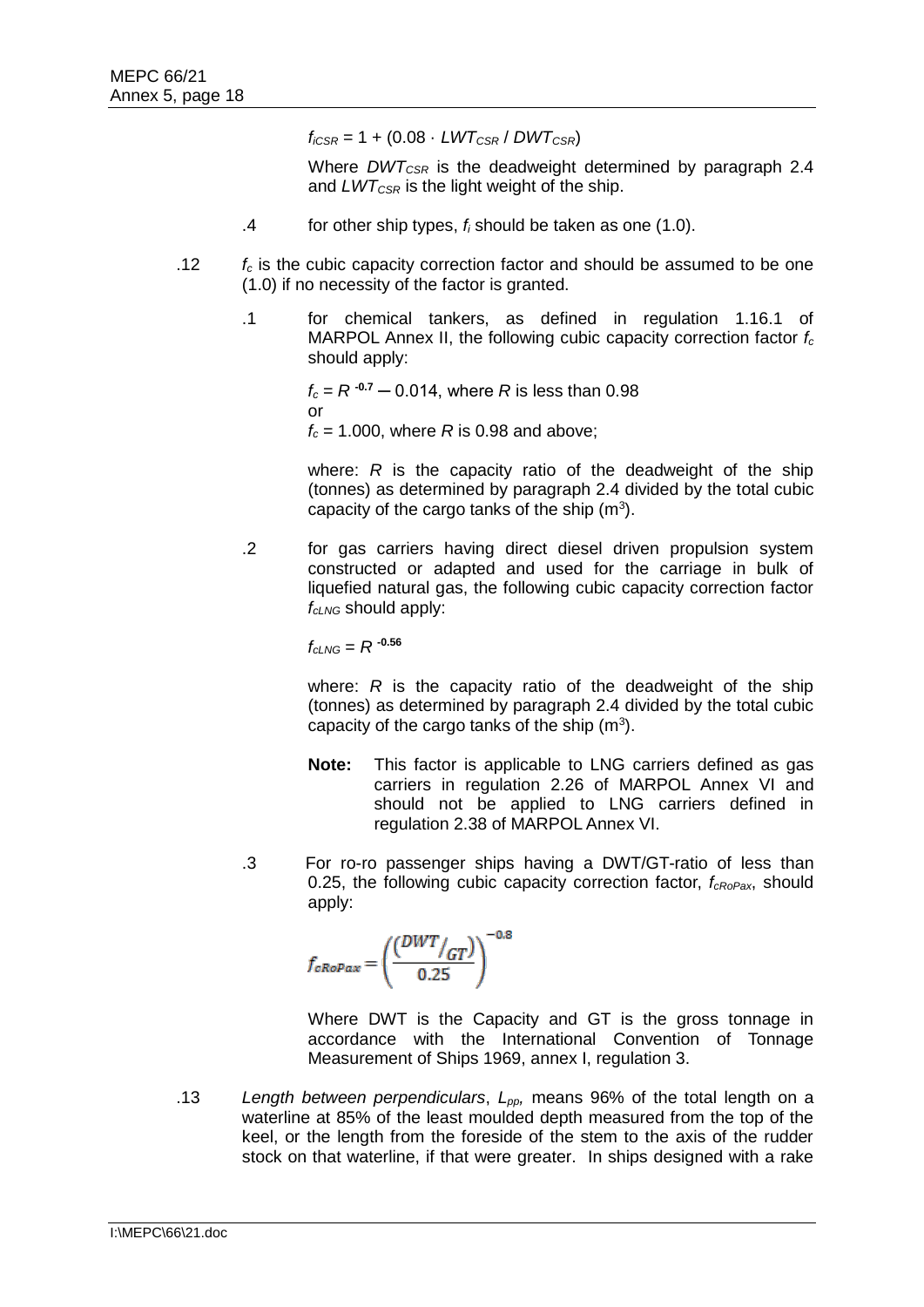$f_{iCSR} = 1 + (0.08 \cdot LWT_{CSR}/DWT_{CSR})$ 

Where *DWTCSR* is the deadweight determined by paragraph 2.4 and *LWTCSR* is the light weight of the ship.

- .4 for other ship types, *f<sup>i</sup>* should be taken as one (1.0).
- .12 *f<sup>c</sup>* is the cubic capacity correction factor and should be assumed to be one (1.0) if no necessity of the factor is granted.
	- .1 for chemical tankers, as defined in regulation 1.16.1 of MARPOL Annex II, the following cubic capacity correction factor *f<sup>c</sup>* should apply:

 $f_c = R^{-0.7} - 0.014$ , where *R* is less than 0.98 or

*f<sup>c</sup>* = 1.000, where *R* is 0.98 and above;

where: *R* is the capacity ratio of the deadweight of the ship (tonnes) as determined by paragraph 2.4 divided by the total cubic capacity of the cargo tanks of the ship  $(m<sup>3</sup>)$ .

.2 for gas carriers having direct diesel driven propulsion system constructed or adapted and used for the carriage in bulk of liquefied natural gas, the following cubic capacity correction factor *fcLNG* should apply:

 $f_{cLME} = R^{-0.56}$ 

where: *R* is the capacity ratio of the deadweight of the ship (tonnes) as determined by paragraph 2.4 divided by the total cubic capacity of the cargo tanks of the ship  $(m<sup>3</sup>)$ .

- **Note:** This factor is applicable to LNG carriers defined as gas carriers in regulation 2.26 of MARPOL Annex VI and should not be applied to LNG carriers defined in regulation 2.38 of MARPOL Annex VI.
- .3 For ro-ro passenger ships having a DWT/GT-ratio of less than 0.25, the following cubic capacity correction factor, *fcRoPax*, should apply:

$$
f_{cRoPax} = \left(\frac{(DWT_{/GT})}{0.25}\right)^{-0.8}
$$

Where DWT is the Capacity and GT is the gross tonnage in accordance with the International Convention of Tonnage Measurement of Ships 1969, annex I, regulation 3.

.13 *Length between perpendiculars*, *Lpp,* means 96% of the total length on a waterline at 85% of the least moulded depth measured from the top of the keel, or the length from the foreside of the stem to the axis of the rudder stock on that waterline, if that were greater. In ships designed with a rake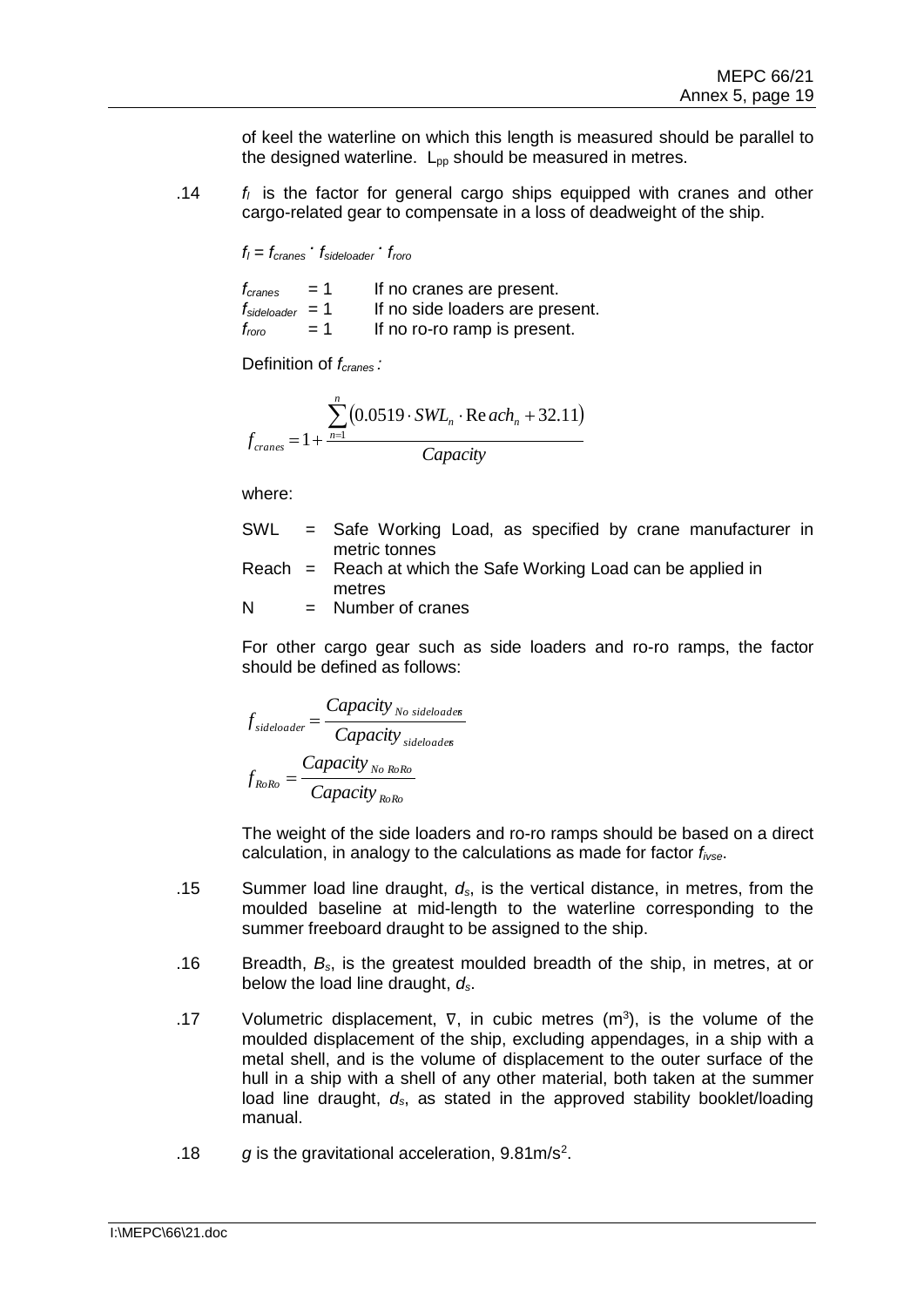of keel the waterline on which this length is measured should be parallel to the designed waterline.  $L_{pp}$  should be measured in metres.

.14 *f<sup>l</sup>* is the factor for general cargo ships equipped with cranes and other cargo-related gear to compensate in a loss of deadweight of the ship.

*f<sup>l</sup> = fcranes . fsideloader . froro*

| $t_{cranes}$                | $= 1$ | If no cranes are present.       |
|-----------------------------|-------|---------------------------------|
| $f_{\text{sideloader}} = 1$ |       | If no side loaders are present. |
| $f_{\rm roro}$              | $= 1$ | If no ro-ro ramp is present.    |

Definition of *fcranes :*

$$
f_{\text{cranes}} = 1 + \frac{\sum_{n=1}^{n} (0.0519 \cdot SWL_n \cdot \text{Re }ach_n + 32.11)}{\text{Capacity}}
$$

where:

- SWL = Safe Working Load, as specified by crane manufacturer in metric tonnes
- Reach  $=$  Reach at which the Safe Working Load can be applied in metres

$$
N = Number of cranes
$$

For other cargo gear such as side loaders and ro-ro ramps, the factor should be defined as follows:

$$
f_{sideloader} = \frac{Capacity_{No \, sideloades}}{Capacity_{sideloades}}
$$
\n
$$
f_{RoRo} = \frac{Capacity_{No \, RoRo}}{Capacity_{RoRo}}
$$

The weight of the side loaders and ro-ro ramps should be based on a direct calculation, in analogy to the calculations as made for factor *fivse*.

- .15 Summer load line draught, *ds*, is the vertical distance, in metres, from the moulded baseline at mid-length to the waterline corresponding to the summer freeboard draught to be assigned to the ship.
- .16 Breadth, *Bs*, is the greatest moulded breadth of the ship, in metres, at or below the load line draught, *ds*.
- .17 Volumetric displacement,  $\nabla$ , in cubic metres (m<sup>3</sup>), is the volume of the moulded displacement of the ship, excluding appendages, in a ship with a metal shell, and is the volume of displacement to the outer surface of the hull in a ship with a shell of any other material, both taken at the summer load line draught, *ds*, as stated in the approved stability booklet/loading manual.
- .18 g is the gravitational acceleration, 9.81m/s<sup>2</sup>.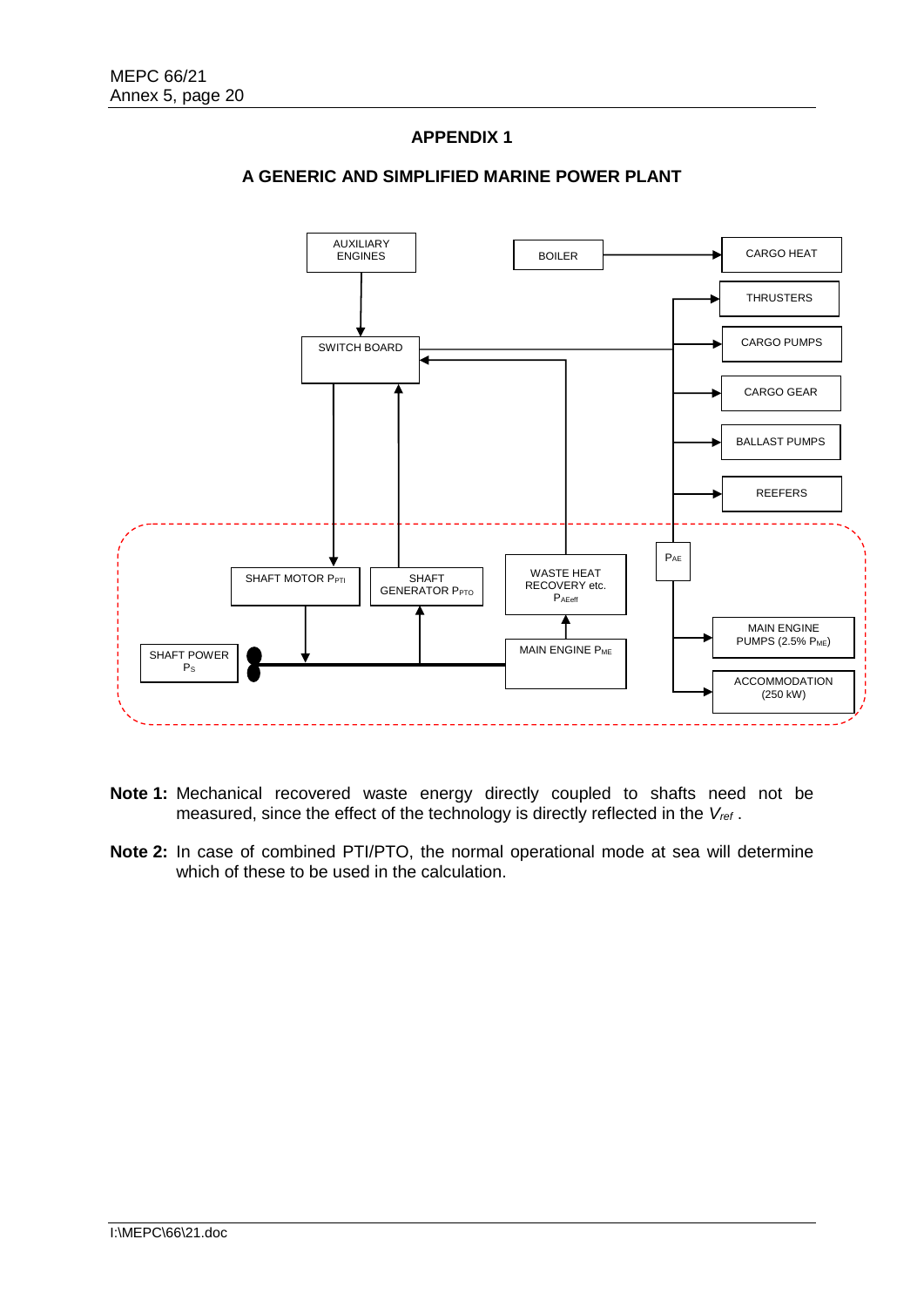# **APPENDIX 1**



## **A GENERIC AND SIMPLIFIED MARINE POWER PLANT**

- **Note 1:** Mechanical recovered waste energy directly coupled to shafts need not be measured, since the effect of the technology is directly reflected in the *Vref* .
- **Note 2:** In case of combined PTI/PTO, the normal operational mode at sea will determine which of these to be used in the calculation.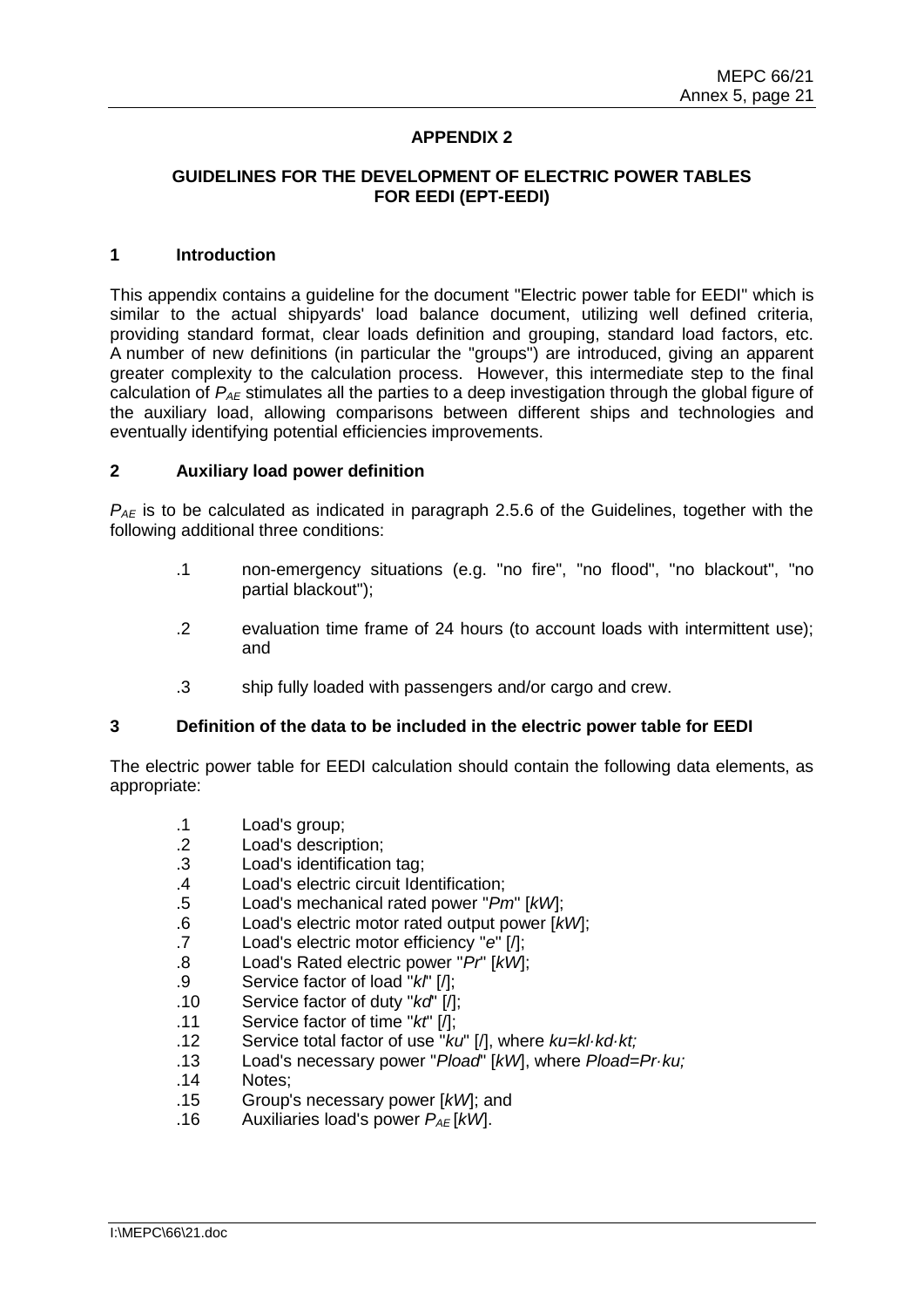# **APPENDIX 2**

### **GUIDELINES FOR THE DEVELOPMENT OF ELECTRIC POWER TABLES FOR EEDI (EPT-EEDI)**

#### **1 Introduction**

This appendix contains a guideline for the document "Electric power table for EEDI" which is similar to the actual shipyards' load balance document, utilizing well defined criteria, providing standard format, clear loads definition and grouping, standard load factors, etc. A number of new definitions (in particular the "groups") are introduced, giving an apparent greater complexity to the calculation process. However, this intermediate step to the final calculation of *PAE* stimulates all the parties to a deep investigation through the global figure of the auxiliary load, allowing comparisons between different ships and technologies and eventually identifying potential efficiencies improvements.

#### **2 Auxiliary load power definition**

*PAE* is to be calculated as indicated in paragraph 2.5.6 of the Guidelines, together with the following additional three conditions:

- .1 non-emergency situations (e.g. "no fire", "no flood", "no blackout", "no partial blackout");
- .2 evaluation time frame of 24 hours (to account loads with intermittent use); and
- .3 ship fully loaded with passengers and/or cargo and crew.

#### **3 Definition of the data to be included in the electric power table for EEDI**

The electric power table for EEDI calculation should contain the following data elements, as appropriate:

- .1 Load's group;
- .2 Load's description;
- .3 Load's identification tag;
- .4 Load's electric circuit Identification;
- .5 Load's mechanical rated power "*Pm*" [*kW*];
- .6 Load's electric motor rated output power [*kW*];
- .7 Load's electric motor efficiency "*e*" [/];
- .8 Load's Rated electric power "*Pr*" [*kW*];
- .9 Service factor of load "*kl*" [/];
- .10 Service factor of duty "*kd*" [/];
- .11 Service factor of time "*kt*" [/];
- .12 Service total factor of use "*ku*" [/], where *ku=kl·kd·kt;*
- .13 Load's necessary power "*Pload*" [*kW*], where *Pload=Pr·ku;*
- .14 Notes;
- .15 Group's necessary power [*kW*]; and
- .16 Auxiliaries load's power  $P_{AF}$ [kW].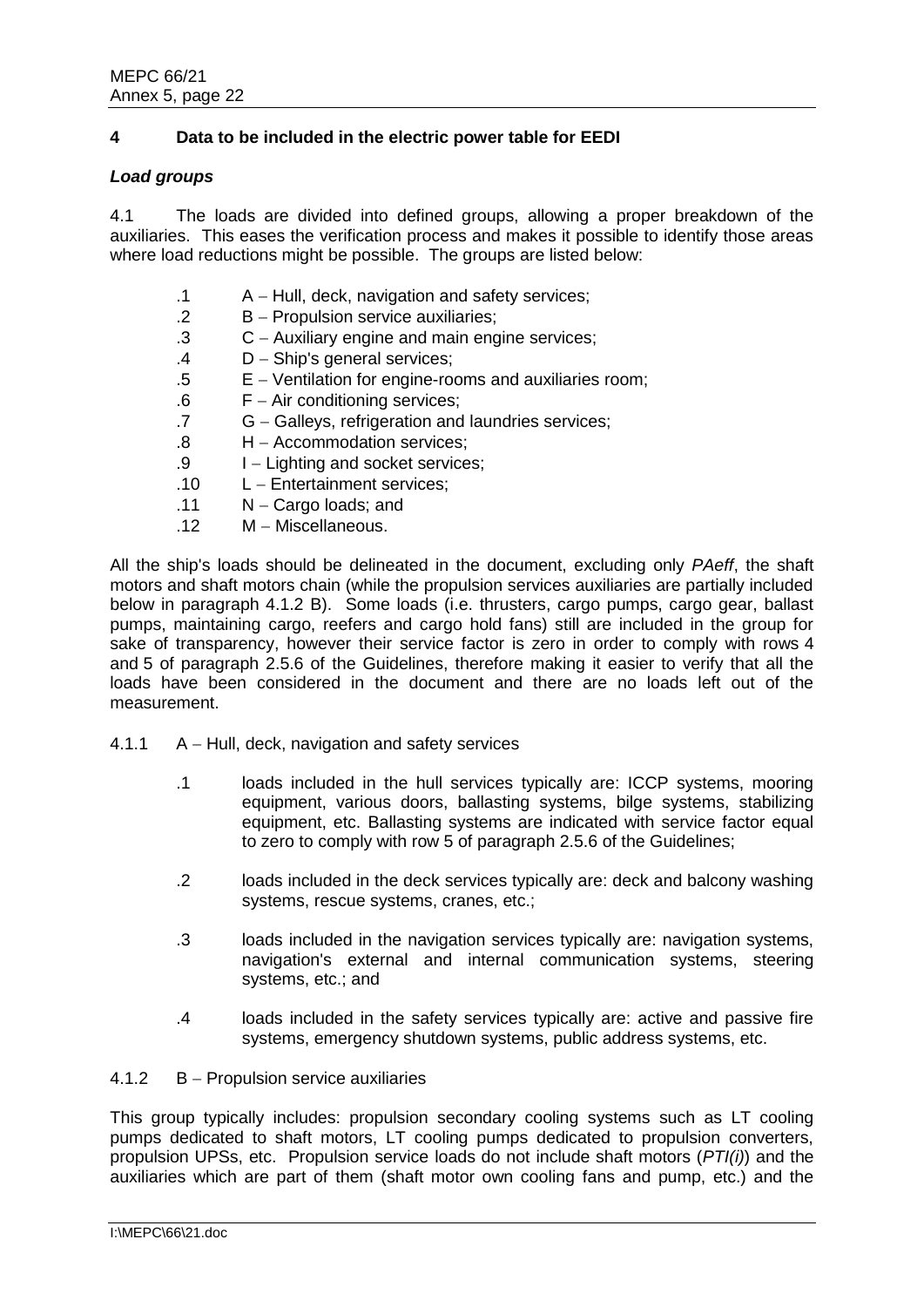# **4 Data to be included in the electric power table for EEDI**

### *Load groups*

4.1 The loads are divided into defined groups, allowing a proper breakdown of the auxiliaries. This eases the verification process and makes it possible to identify those areas where load reductions might be possible. The groups are listed below:

- .1 A Hull, deck, navigation and safety services;
- .2 B Propulsion service auxiliaries;
- .3 C Auxiliary engine and main engine services;
- .4 D Ship's general services;
- .5 E Ventilation for engine-rooms and auxiliaries room;
- .6 F Air conditioning services;
- .7 G Galleys, refrigeration and laundries services;
- .8 H Accommodation services;
- .9 I Lighting and socket services:
- .10 L Entertainment services;
- $.11 \qquad N -$  Cargo loads; and
- .12 M Miscellaneous.

All the ship's loads should be delineated in the document, excluding only *PAeff*, the shaft motors and shaft motors chain (while the propulsion services auxiliaries are partially included below in paragraph 4.1.2 B). Some loads (i.e. thrusters, cargo pumps, cargo gear, ballast pumps, maintaining cargo, reefers and cargo hold fans) still are included in the group for sake of transparency, however their service factor is zero in order to comply with rows 4 and 5 of paragraph 2.5.6 of the Guidelines, therefore making it easier to verify that all the loads have been considered in the document and there are no loads left out of the measurement.

- $4.1.1$   $A Hull$ , deck, navigation and safety services
	- .1 loads included in the hull services typically are: ICCP systems, mooring equipment, various doors, ballasting systems, bilge systems, stabilizing equipment, etc. Ballasting systems are indicated with service factor equal to zero to comply with row 5 of paragraph 2.5.6 of the Guidelines;
	- .2 loads included in the deck services typically are: deck and balcony washing systems, rescue systems, cranes, etc.;
	- .3 loads included in the navigation services typically are: navigation systems, navigation's external and internal communication systems, steering systems, etc.; and
	- .4 loads included in the safety services typically are: active and passive fire systems, emergency shutdown systems, public address systems, etc.
- $4.1.2$  B Propulsion service auxiliaries

This group typically includes: propulsion secondary cooling systems such as LT cooling pumps dedicated to shaft motors, LT cooling pumps dedicated to propulsion converters, propulsion UPSs, etc. Propulsion service loads do not include shaft motors (*PTI(i)*) and the auxiliaries which are part of them (shaft motor own cooling fans and pump, etc.) and the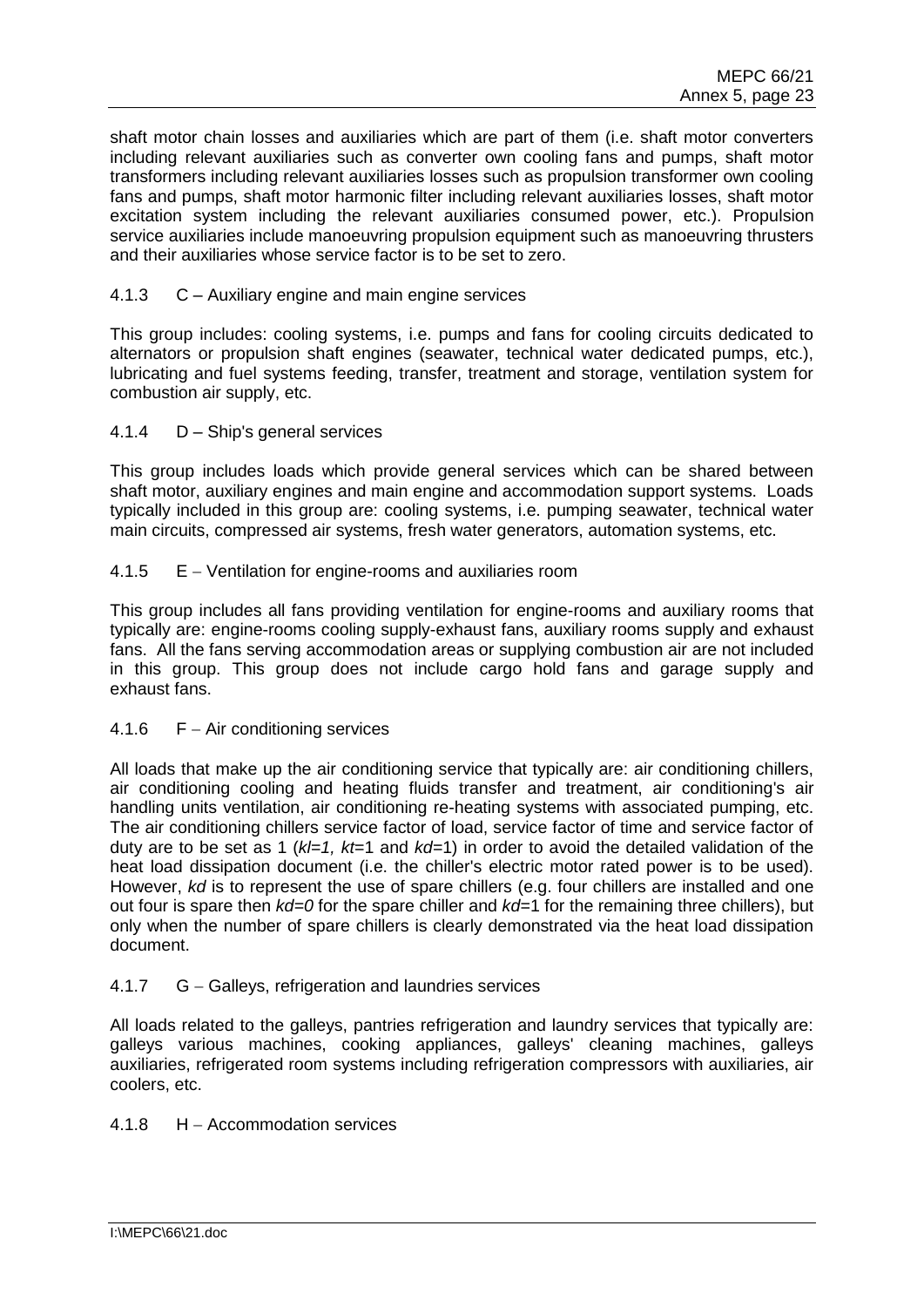shaft motor chain losses and auxiliaries which are part of them (i.e. shaft motor converters including relevant auxiliaries such as converter own cooling fans and pumps, shaft motor transformers including relevant auxiliaries losses such as propulsion transformer own cooling fans and pumps, shaft motor harmonic filter including relevant auxiliaries losses, shaft motor excitation system including the relevant auxiliaries consumed power, etc.). Propulsion service auxiliaries include manoeuvring propulsion equipment such as manoeuvring thrusters and their auxiliaries whose service factor is to be set to zero.

## 4.1.3 C – Auxiliary engine and main engine services

This group includes: cooling systems, i.e. pumps and fans for cooling circuits dedicated to alternators or propulsion shaft engines (seawater, technical water dedicated pumps, etc.), lubricating and fuel systems feeding, transfer, treatment and storage, ventilation system for combustion air supply, etc.

## 4.1.4 D – Ship's general services

This group includes loads which provide general services which can be shared between shaft motor, auxiliary engines and main engine and accommodation support systems. Loads typically included in this group are: cooling systems, i.e. pumping seawater, technical water main circuits, compressed air systems, fresh water generators, automation systems, etc.

# 4.1.5 E – Ventilation for engine-rooms and auxiliaries room

This group includes all fans providing ventilation for engine-rooms and auxiliary rooms that typically are: engine-rooms cooling supply-exhaust fans, auxiliary rooms supply and exhaust fans. All the fans serving accommodation areas or supplying combustion air are not included in this group. This group does not include cargo hold fans and garage supply and exhaust fans.

## 4.1.6  $F - Air conditioning services$

All loads that make up the air conditioning service that typically are: air conditioning chillers, air conditioning cooling and heating fluids transfer and treatment, air conditioning's air handling units ventilation, air conditioning re-heating systems with associated pumping, etc. The air conditioning chillers service factor of load, service factor of time and service factor of duty are to be set as 1 (*kl=1, kt*=1 and *kd=*1) in order to avoid the detailed validation of the heat load dissipation document (i.e. the chiller's electric motor rated power is to be used). However, *kd* is to represent the use of spare chillers (e.g. four chillers are installed and one out four is spare then *kd=0* for the spare chiller and *kd=*1 for the remaining three chillers), but only when the number of spare chillers is clearly demonstrated via the heat load dissipation document.

# 4.1.7 G – Galleys, refrigeration and laundries services

All loads related to the galleys, pantries refrigeration and laundry services that typically are: galleys various machines, cooking appliances, galleys' cleaning machines, galleys auxiliaries, refrigerated room systems including refrigeration compressors with auxiliaries, air coolers, etc.

## $4.1.8$  H – Accommodation services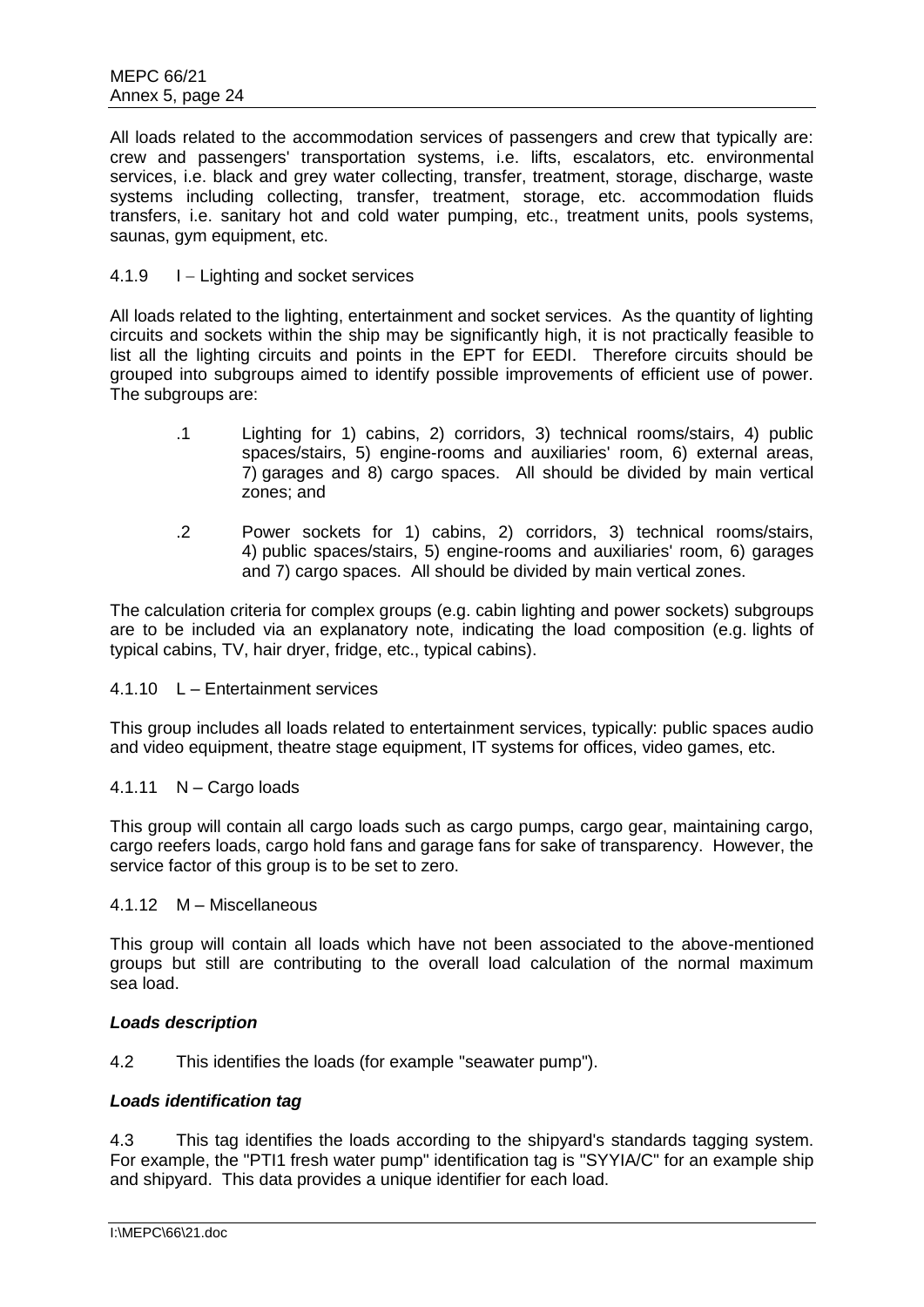All loads related to the accommodation services of passengers and crew that typically are: crew and passengers' transportation systems, i.e. lifts, escalators, etc. environmental services, i.e. black and grey water collecting, transfer, treatment, storage, discharge, waste systems including collecting, transfer, treatment, storage, etc. accommodation fluids transfers, i.e. sanitary hot and cold water pumping, etc., treatment units, pools systems, saunas, gym equipment, etc.

### 4.1.9 I – Lighting and socket services

All loads related to the lighting, entertainment and socket services. As the quantity of lighting circuits and sockets within the ship may be significantly high, it is not practically feasible to list all the lighting circuits and points in the EPT for EEDI. Therefore circuits should be grouped into subgroups aimed to identify possible improvements of efficient use of power. The subgroups are:

- .1 Lighting for 1) cabins, 2) corridors, 3) technical rooms/stairs, 4) public spaces/stairs, 5) engine-rooms and auxiliaries' room, 6) external areas, 7) garages and 8) cargo spaces. All should be divided by main vertical zones; and
- .2 Power sockets for 1) cabins, 2) corridors, 3) technical rooms/stairs, 4) public spaces/stairs, 5) engine-rooms and auxiliaries' room, 6) garages and 7) cargo spaces. All should be divided by main vertical zones.

The calculation criteria for complex groups (e.g. cabin lighting and power sockets) subgroups are to be included via an explanatory note, indicating the load composition (e.g. lights of typical cabins, TV, hair dryer, fridge, etc., typical cabins).

#### 4.1.10 L – Entertainment services

This group includes all loads related to entertainment services, typically: public spaces audio and video equipment, theatre stage equipment, IT systems for offices, video games, etc.

## 4.1.11 N – Cargo loads

This group will contain all cargo loads such as cargo pumps, cargo gear, maintaining cargo, cargo reefers loads, cargo hold fans and garage fans for sake of transparency. However, the service factor of this group is to be set to zero.

#### 4.1.12 M – Miscellaneous

This group will contain all loads which have not been associated to the above-mentioned groups but still are contributing to the overall load calculation of the normal maximum sea load.

#### *Loads description*

4.2 This identifies the loads (for example "seawater pump").

#### *Loads identification tag*

4.3 This tag identifies the loads according to the shipyard's standards tagging system. For example, the "PTI1 fresh water pump" identification tag is "SYYIA/C" for an example ship and shipyard. This data provides a unique identifier for each load.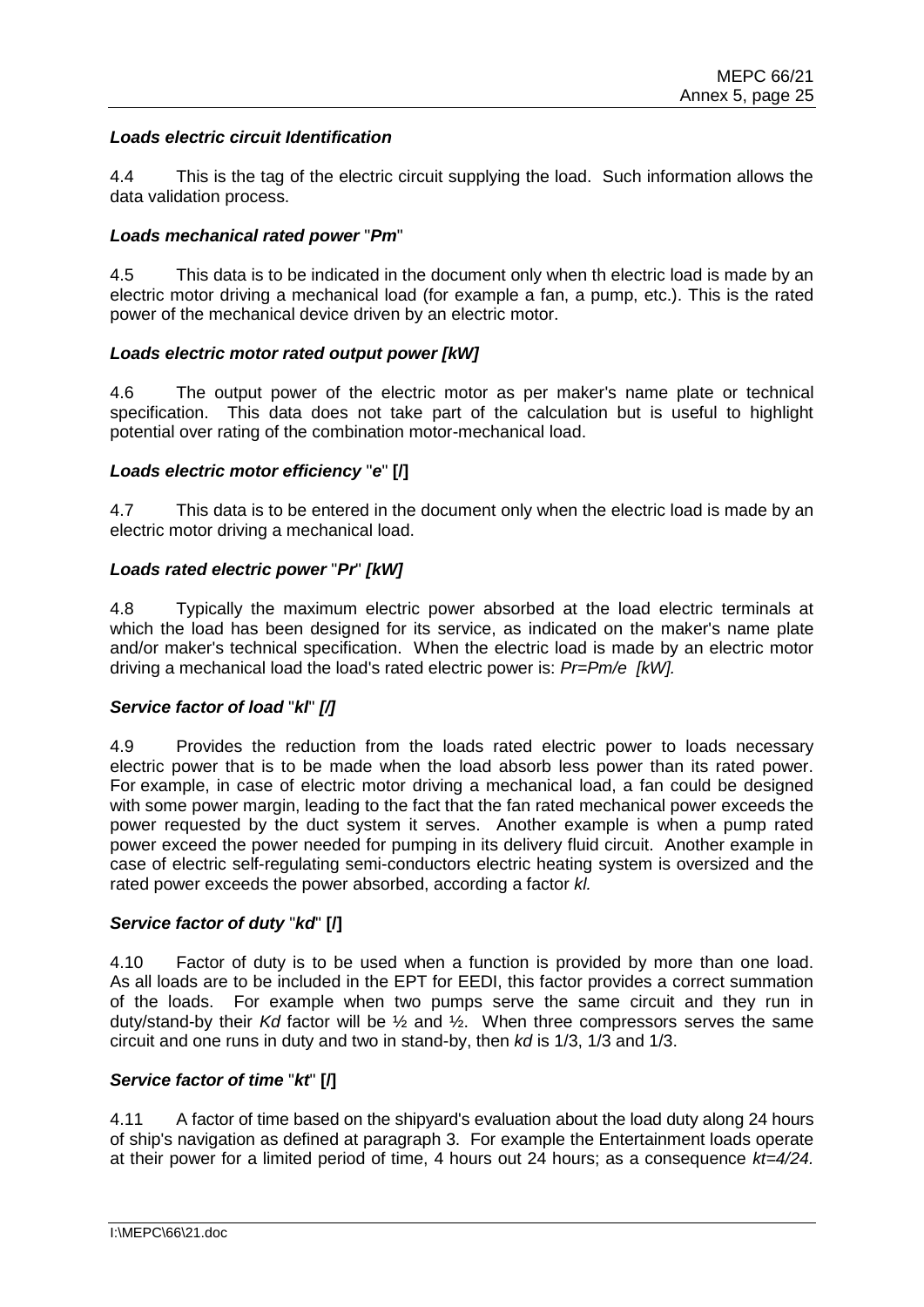## *Loads electric circuit Identification*

4.4 This is the tag of the electric circuit supplying the load. Such information allows the data validation process.

### *Loads mechanical rated power* "*Pm*"

4.5 This data is to be indicated in the document only when th electric load is made by an electric motor driving a mechanical load (for example a fan, a pump, etc.). This is the rated power of the mechanical device driven by an electric motor.

### *Loads electric motor rated output power [kW]*

4.6 The output power of the electric motor as per maker's name plate or technical specification. This data does not take part of the calculation but is useful to highlight potential over rating of the combination motor-mechanical load.

### *Loads electric motor efficiency* "*e*" **[/]**

4.7 This data is to be entered in the document only when the electric load is made by an electric motor driving a mechanical load.

## *Loads rated electric power* "*Pr*" *[kW]*

4.8 Typically the maximum electric power absorbed at the load electric terminals at which the load has been designed for its service, as indicated on the maker's name plate and/or maker's technical specification. When the electric load is made by an electric motor driving a mechanical load the load's rated electric power is: *Pr=Pm/e [kW].*

#### *Service factor of load* "*kl*" *[/]*

4.9 Provides the reduction from the loads rated electric power to loads necessary electric power that is to be made when the load absorb less power than its rated power. For example, in case of electric motor driving a mechanical load, a fan could be designed with some power margin, leading to the fact that the fan rated mechanical power exceeds the power requested by the duct system it serves. Another example is when a pump rated power exceed the power needed for pumping in its delivery fluid circuit. Another example in case of electric self-regulating semi-conductors electric heating system is oversized and the rated power exceeds the power absorbed, according a factor *kl.*

## *Service factor of duty* "*kd*" **[/]**

4.10 Factor of duty is to be used when a function is provided by more than one load. As all loads are to be included in the EPT for EEDI, this factor provides a correct summation of the loads. For example when two pumps serve the same circuit and they run in duty/stand-by their *Kd* factor will be ½ and ½. When three compressors serves the same circuit and one runs in duty and two in stand-by, then *kd* is 1/3, 1/3 and 1/3.

#### *Service factor of time* "*kt*" **[/]**

4.11 A factor of time based on the shipyard's evaluation about the load duty along 24 hours of ship's navigation as defined at paragraph 3. For example the Entertainment loads operate at their power for a limited period of time, 4 hours out 24 hours; as a consequence *kt=4/24.*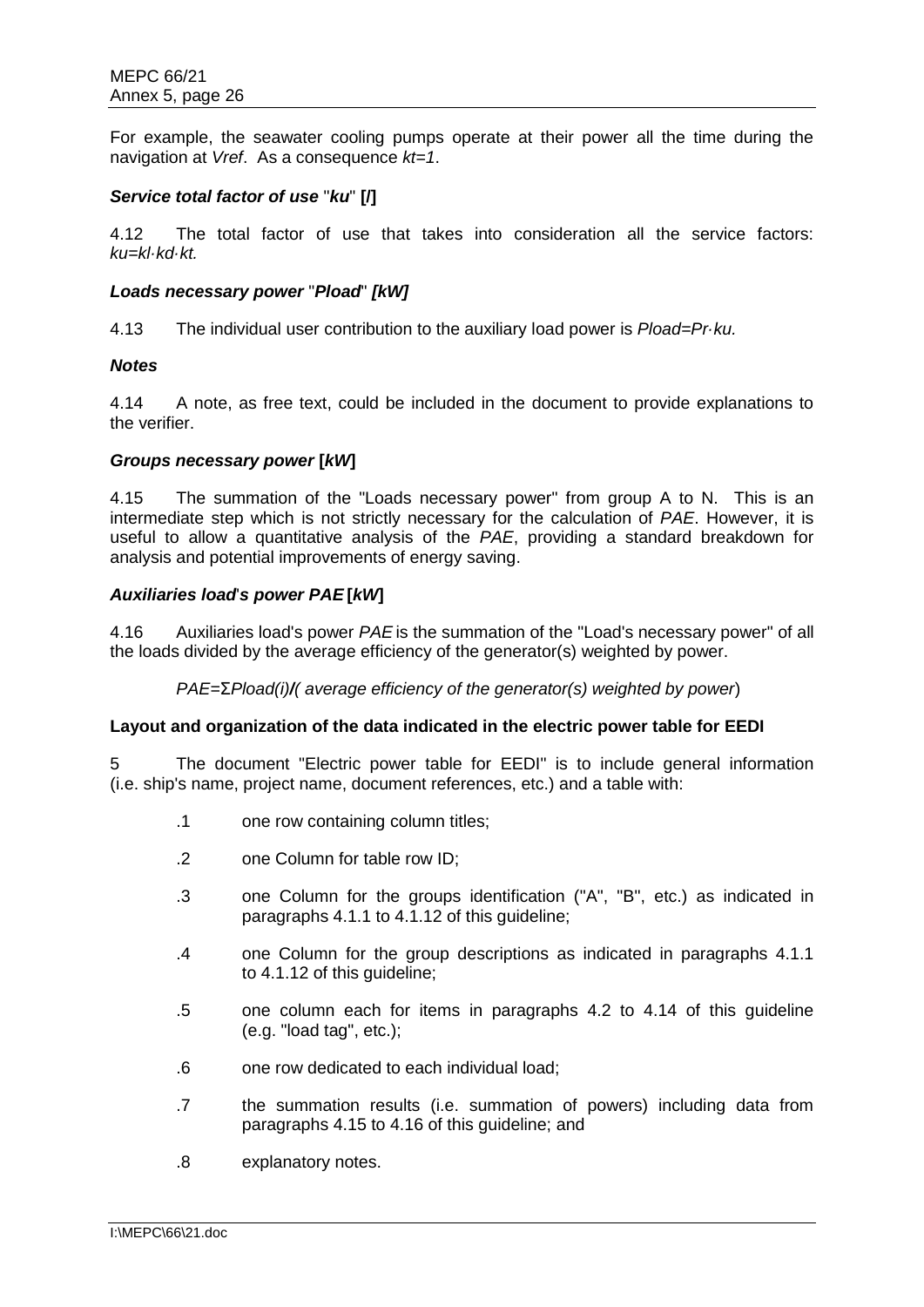For example, the seawater cooling pumps operate at their power all the time during the navigation at *Vref*. As a consequence *kt=1*.

### *Service total factor of use* "*ku*" **[/]**

4.12 The total factor of use that takes into consideration all the service factors: *ku=kl·kd·kt.*

#### *Loads necessary power* "*Pload*" *[kW]*

4.13 The individual user contribution to the auxiliary load power is *Pload=Pr·ku.*

### *Notes*

4.14 A note, as free text, could be included in the document to provide explanations to the verifier.

### *Groups necessary power* **[***kW***]**

4.15 The summation of the "Loads necessary power" from group A to N. This is an intermediate step which is not strictly necessary for the calculation of *PAE*. However, it is useful to allow a quantitative analysis of the *PAE*, providing a standard breakdown for analysis and potential improvements of energy saving.

### *Auxiliaries load*'*s power PAE* **[***kW***]**

4.16 Auxiliaries load's power *PAE* is the summation of the "Load's necessary power" of all the loads divided by the average efficiency of the generator(s) weighted by power.

*PAE=*Σ*Pload(i)/( average efficiency of the generator(s) weighted by power*)

#### **Layout and organization of the data indicated in the electric power table for EEDI**

5 The document "Electric power table for EEDI" is to include general information (i.e. ship's name, project name, document references, etc.) and a table with:

- .1 one row containing column titles;
- .2 one Column for table row ID;
- .3 one Column for the groups identification ("A", "B", etc.) as indicated in paragraphs 4.1.1 to 4.1.12 of this guideline;
- .4 one Column for the group descriptions as indicated in paragraphs 4.1.1 to 4.1.12 of this guideline;
- .5 one column each for items in paragraphs 4.2 to 4.14 of this guideline (e.g. "load tag", etc.);
- .6 one row dedicated to each individual load;
- .7 the summation results (i.e. summation of powers) including data from paragraphs 4.15 to 4.16 of this guideline; and
- .8 explanatory notes.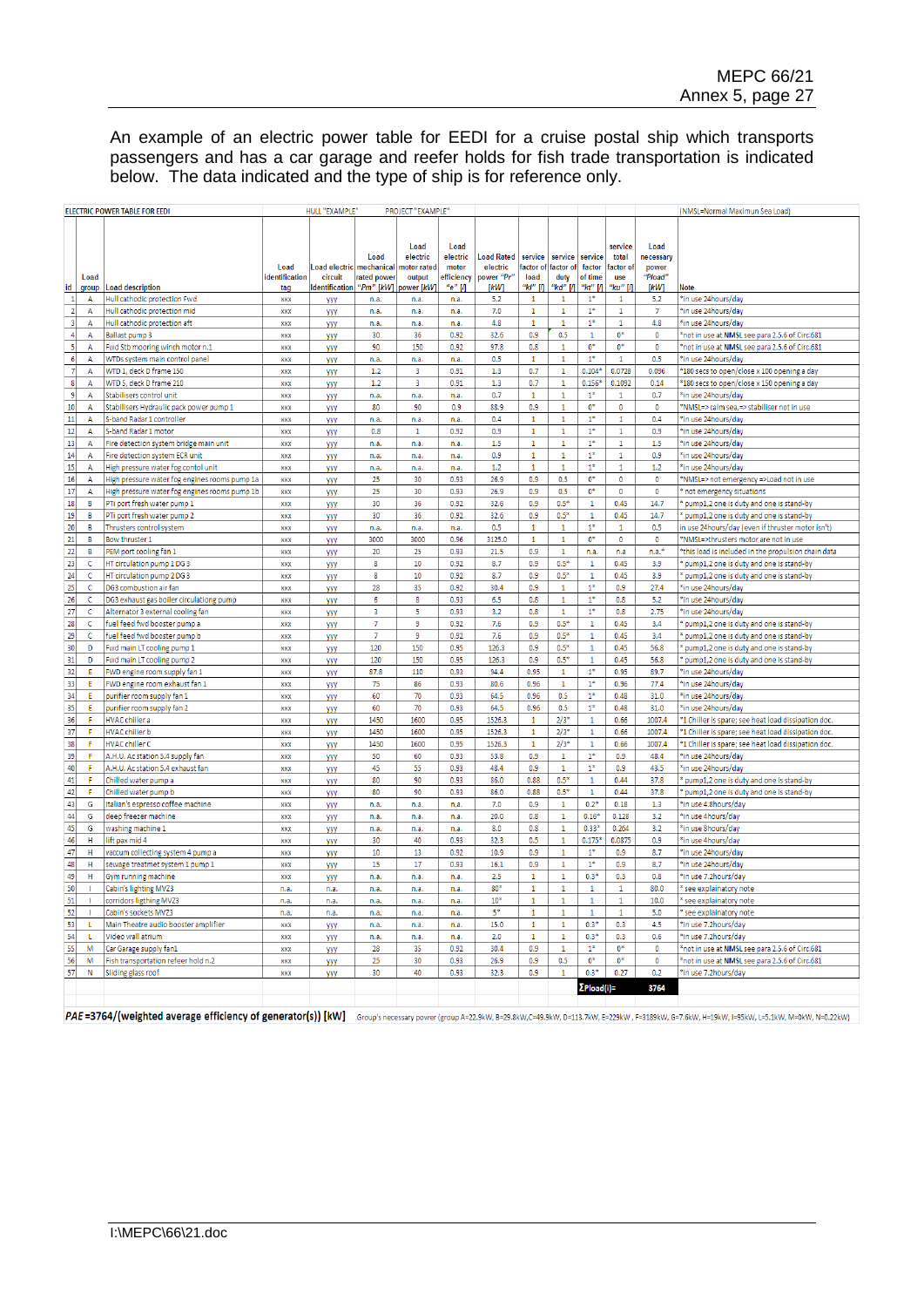An example of an electric power table for EEDI for a cruise postal ship which transports passengers and has a car garage and reefer holds for fish trade transportation is indicated below. The data indicated and the type of ship is for reference only.

|                     |                | <b>ELECTRIC POWER TABLE FOR EEDI</b>                                          |                        | HULL "EXAMPLE"           |                                   | PROJECT "EXAMPLE"                                |                                                       |                                             |                             |                              |                              |                                     |                                              | (NMSL=Normal Maximun Sea Load)                                     |
|---------------------|----------------|-------------------------------------------------------------------------------|------------------------|--------------------------|-----------------------------------|--------------------------------------------------|-------------------------------------------------------|---------------------------------------------|-----------------------------|------------------------------|------------------------------|-------------------------------------|----------------------------------------------|--------------------------------------------------------------------|
|                     | Load           |                                                                               | Load<br>identification | Load electric<br>circuit | Load<br>mechanical<br>rated power | <b>Load</b><br>electric<br>notor rated<br>output | <b>Load</b><br>electric<br>motor<br><b>efficiency</b> | <b>Load Rated</b><br>electric<br>power "Pr' | service<br>actor of<br>load | service<br>factor o<br>duty  | service<br>factor<br>of time | service<br>total<br>actor of<br>use | <b>Load</b><br>necessary<br>power<br>"Pload" |                                                                    |
| id                  | group          | <b>Load description</b>                                                       | tag                    | dentification            | "Pm" [kW]                         | ower [ <i>kW</i>                                 | "е" М                                                 | [kW]                                        | "kl" [Л                     | "kd"  /                      | "kt" [Л                      | 'ku" [Л                             | [kW]                                         | Note                                                               |
| $\vert$ 1           | А              | Hull cathodic protection Fwd                                                  | <b>XXX</b>             | <b>YYY</b>               | n.a                               | n.a.                                             | n.a.                                                  | 5.2                                         | $\mathbf{1}$                | $\mathbf{1}$                 | $1^\ast$                     | $\mathbf{1}$                        | 5.2                                          | *in use 24hours/day                                                |
| $\overline{2}$      | A              | Hull cathodic protection mid                                                  | <b>XXX</b>             | <b>YYY</b>               | n.a.                              | n.a.                                             | n.a.                                                  | 7.0                                         | $\mathbf{1}$                | $\mathbf{1}$                 | $1*$                         | $\mathbf{1}$                        | $\overline{7}$                               | *in use 24hours/day                                                |
| $\vert$ 3           | $\overline{A}$ | Hull cathodic protection aft                                                  | <b>XXX</b>             | <b>yyy</b>               | n.a.                              | n.a.                                             | n.a.                                                  | 4.8                                         | $\mathbf{1}$                | $\mathbf{1}$                 | $1*$                         | 1                                   | 4.8                                          | *in use 24hours/day                                                |
| $\overline{4}$      | $\Delta$       | Ballast pump 3                                                                | <b>XXX</b>             | <b>yyy</b>               | 30                                | 36                                               | 0.92                                                  | 32.6                                        | 0.9                         | 0.5                          | $\mathbf{1}$                 | $0*$                                | $\bullet$                                    | *not in use at NMSL see para 2.5.6 of Circ.681                     |
| 5                   | A              | wd Stb mooring winch motor n.1                                                | <b>XXX</b>             | <b>yyy</b>               | 90                                | 150                                              | 0.92                                                  | 97.8                                        | 0.8                         | $\mathbf{1}$                 | $0^*$<br>$1*$                | $0*$                                | $\pmb{0}$                                    | *not in use at NMSL see para 2.5.6 of Circ.681                     |
| 6<br>$\overline{7}$ | A<br>A         | WTDs system main control panel<br>WTD 1, deck D frame 150                     | <b>XXX</b><br>xxx      | <b>YYY</b>               | n.a<br>1.2                        | n.a.<br>3                                        | n.a.<br>0.91                                          | 0.5<br>1.3                                  | $\mathbf{1}$<br>0.7         | $\mathbf{1}$<br>$\mathbf{1}$ | $0.104*$                     | $\mathbf{1}$<br>0.0728              | 0.5<br>0.096                                 | *in use 24hours/day<br>*180 secs to open/close x 100 opening a day |
| $\lvert$ 8          | $\overline{A}$ | WTD 5, deck D frame 210                                                       | <b>XXX</b>             | <b>yyy</b>               | 1.2                               | R                                                | 0.91                                                  | 1.3                                         | 0.7                         | $\mathbf{1}$                 | $0.156*$                     | 0.1092                              | 0.14                                         | *180 secs to open/close x 150 opening a day                        |
| $\mathsf{g}$        | A              | Stabilisers control unit                                                      | xxx                    | <b>YYY</b><br>yyy        | n.a.                              | n.a.                                             | n.a.                                                  | 0.7                                         | $\mathbf{1}$                | $\mathbf{1}$                 | $1*$                         | 1                                   | 0.7                                          | *in use 24hours/day                                                |
| 10                  | A              | Stabilisers Hydraulic pack power pump 1                                       | xxx                    | <b>yyy</b>               | 80                                | 90                                               | 0.9                                                   | 88.9                                        | 0.9                         | $\mathbf 1$                  | $0^*$                        | $\mathbf 0$                         | $\pmb{0}$                                    | *NMSL=> calm sea,=> stabiliser not in use                          |
| 11                  | A              | S-band Radar 1 controller                                                     | xxx                    | <b>yyy</b>               | n.a.                              | n.a.                                             | n.a.                                                  | 0.4                                         | $1\,$                       | $\mathbf{1}$                 | $1^*$                        | 1                                   | 0.4                                          | *in use 24hours/day                                                |
| 12                  | $\Delta$       | S-band Radar 1 motor                                                          | xxx                    | <b>yyy</b>               | 0.8                               | 1                                                | 0.92                                                  | 0.9                                         | $\mathbf 1$                 | $\mathbf 1$                  | $1*$                         | $\mathbf{1}$                        | 0.9                                          | *in use 24hours/day                                                |
| 13                  | A              | Fire detection system bridge main unit                                        | xxx                    | yyy                      | n.a                               | n.a.                                             | n.a.                                                  | $1.5\,$                                     | $\mathbf 1$                 | $\mathbf 1$                  | $1^\ast$                     | $\mathbf 1$                         | 1.5                                          | *in use 24hours/day                                                |
| 14                  | А              | Fire detection system ECR unit                                                | <b>XXX</b>             | <b>YYY</b>               | n.a.                              | n.a.                                             | n.a.                                                  | 0.9                                         | $1\,$                       | $\mathbf{1}$                 | $1*$                         | 1                                   | 0.9                                          | *in use 24hours/day                                                |
| 15                  | А              | High pressure water fog contol unit                                           | XXX                    | <b>YYY</b>               | n.a.                              | n.a.                                             | n.a.                                                  | 1.2                                         | $\mathbf{1}$                | $\mathbf{1}$                 | $1*$                         | 1                                   | 1.2                                          | *in use 24hours/day                                                |
| 16                  | $\overline{A}$ | High pressure water fog engines rooms pump 1a                                 | <b>XXX</b>             | yyy                      | 25                                | 30                                               | 0.93                                                  | 26.9                                        | 0.9                         | 0.5                          | $0*$                         | $\circ$                             | $\circ$                                      | *NMSL=> not emergency =>Load not in use                            |
| 17                  | A              | High pressure water fog engines rooms pump 1b                                 | <b>XXX</b>             | <b>YYY</b>               | 25                                | 30                                               | 0.93                                                  | 26.9                                        | 0.9                         | 0.5                          | $0*$                         | $\bullet$                           | 0                                            | * not emergency situations                                         |
| 18                  | B              | PTi port fresh water pump 1                                                   | <b>XXX</b>             | <b>yyy</b>               | 30                                | 36                                               | 0.92                                                  | 32.6                                        | 0.9                         | $0.5*$                       | $\mathbf{1}$                 | 0.45                                | 14.7                                         | pump1,2 one is duty and one is stand-by                            |
| 19                  | B              | PTi port fresh water pump 2                                                   | <b>XXX</b>             | <b>YYY</b>               | 30                                | 36                                               | 0.92                                                  | 32.6                                        | 0.9                         | $0.5*$                       | $\mathbf{1}$                 | 0.45                                | 14.7                                         | pump1,2 one is duty and one is stand-by                            |
| 20                  | B              | Thrusters control system                                                      | xxx                    | <b>YYY</b>               | n.a.                              | n.a.                                             | n.a.                                                  | 0.5                                         | $\mathbf{1}$                | $\mathbf{1}$                 | $1^*$                        | $\mathbf{1}$                        | 0.5                                          | in use 24hours/day (even if thruster motor isn't)                  |
| 21                  | B              | Bow thruster 1                                                                | <b>XXX</b>             | <b>YYY</b>               | 3000                              | 3000                                             | 0.96                                                  | 3125.0                                      | $\mathbf{1}$                | $\mathbf{1}$                 | $0*$                         | $\bullet$                           | $\bullet$                                    | *NMSL=>thrusters motor are not in use                              |
| 22                  | B              | PEM port cooling fan 1                                                        | <b>XXX</b>             | yyy                      | 20                                | 25                                               | 0.93                                                  | 21.5                                        | 0.9                         | $\,1$                        | n.a.                         | n.a                                 | $n.a.*$                                      | *this load is included in the propulsion chain data                |
| 23                  | c              | HT circulation pump 1 DG 3                                                    | <b>XXX</b>             | <b>YYY</b>               | 8                                 | 10                                               | 0.92                                                  | 8.7                                         | 0.9                         | $0.5*$                       | $\mathbf{1}$                 | 0.45                                | 3.9                                          | pump1,2 one is duty and one is stand-by                            |
| 24                  | c              | HT circulation pump 2 DG 3                                                    | XXX                    | <b>yyy</b>               | 8                                 | 10                                               | 0.92                                                  | 8.7                                         | 0.9                         | $0.5*$                       | 1                            | 0.45                                | 3.9                                          | pump1,2 one is duty and one is stand-by                            |
| 25                  | c<br>¢         | DG3 combustion air fan                                                        | xxx                    | <b>yyy</b>               | 28<br>6                           | 35<br>8                                          | 0.92                                                  | 30.4                                        | 0.9                         | $\mathbf 1$<br>$\mathbf 1$   | $1*$<br>$1*$                 | 0.9                                 | 27.4                                         | *in use 24hours/day                                                |
| 26                  |                | DG3 exhaust gas boiler circulationg pump<br>Alternator 3 external cooling fan | xxx                    | yyy                      | 3                                 | 5                                                | 0.93<br>0.93                                          | 6.5<br>3.2                                  | 0.8<br>0.8                  | $\mathbf 1$                  | $1^*$                        | 0.8<br>0.8                          | 5.2<br>2.75                                  | *in use 24hours/day<br>*in use 24hours/day                         |
| 27<br>28            | c<br>c         | fuel feed fwd booster pump a                                                  | xxx<br><b>XXX</b>      | <b>yyy</b>               | 7                                 | 9                                                | 0.92                                                  | 7.6                                         | 0.9                         | $0.5*$                       | $\mathbf{1}$                 | 0.45                                | 3.4                                          | pump1,2 one is duty and one is stand-by                            |
| 29                  | c              | fuel feed fwd booster pump b                                                  | <b>XXX</b>             | <b>YYY</b><br><b>VVV</b> | $\overline{7}$                    | 9                                                | 0.92                                                  | 7.6                                         | 0.9                         | $0.5*$                       | $\mathbf{1}$                 | 0.45                                | 3.4                                          | pump1,2 one is duty and one is stand-by                            |
| 30                  | D              | Fwd main LT cooling pump 1                                                    | <b>XXX</b>             | <b>YYY</b>               | 120                               | 150                                              | 0.95                                                  | 126.3                                       | 0.9                         | $0.5*$                       | $\mathbf{1}$                 | 0.45                                | 56.8                                         | pump1,2 one is duty and one is stand-by                            |
| 31                  | D              | wd main LT cooling pump 2                                                     | <b>XXX</b>             | <b>yyy</b>               | 120                               | 150                                              | 0.95                                                  | 126.3                                       | 0.9                         | $0.5*$                       | $\mathbf{1}$                 | 0.45                                | 56.8                                         | pump1,2 one is duty and one is stand-by                            |
| 32                  | F              | WD engine room supply fan 1                                                   | XXX                    | <b>yyy</b>               | 87.8                              | 110                                              | 0.93                                                  | 94.4                                        | 0.95                        | $\mathbf 1$                  | $1*$                         | 0.95                                | 89.7                                         | *in use 24hours/day                                                |
| 33                  | Ε              | FWD engine room exhaust fan 1                                                 | xxx                    | <b>yyy</b>               | 75                                | 86                                               | 0.93                                                  | 80.6                                        | 0.96                        | $\mathbf{1}$                 | $1^*$                        | 0.96                                | 77.4                                         | *in use 24hours/day                                                |
| 34                  | E              | purifier room supply fan 1                                                    | <b>XXX</b>             | <b>YYY</b>               | 60                                | 70                                               | 0.93                                                  | 64.5                                        | 0.96                        | 0.5                          | $1*$                         | 0.48                                | 31.0                                         | *in use 24hours/day                                                |
| 35                  | E              | purifier room supply fan 2                                                    | xxx                    | <b>YYY</b>               | 60                                | 70                                               | 0.93                                                  | 64.5                                        | 0.96                        | 0.5                          | $1*$                         | 0.48                                | 31.0                                         | *in use 24hours/day                                                |
| 36                  | F              | HVAC chiller a                                                                | <b>XXX</b>             | <b>YYY</b>               | 1450                              | 1600                                             | 0.95                                                  | 1526.3                                      | $\mathbf{1}$                | $2/3*$                       | 1                            | 0.66                                | 1007.4                                       | *1 Chiller is spare; see heat load dissipation doc.                |
| 37                  | F              | <b>HVAC</b> chiller b                                                         | XXX                    | <b>yyy</b>               | 1450                              | 1600                                             | 0.95                                                  | 1526.3                                      | $\mathbf{1}$                | $2/3*$                       | $\mathbf{1}$                 | 0.66                                | 1007.4                                       | *1 Chiller is spare; see heat load dissipation doc.                |
| 38                  | F              | <b>HVAC</b> chiller C                                                         | xxx                    | <b>YYY</b>               | 1450                              | 1600                                             | 0.95                                                  | 1526.3                                      | $\mathbf{1}$                | $2/3*$                       | $\mathbf{1}$                 | 0.66                                | 1007.4                                       | *1 Chiller is spare; see heat load dissipation doc.                |
| 39                  | F              | H.U. Ac station 5.4 supply fan                                                | XXX                    | <b>yyy</b>               | 50                                | 60                                               | 0.93                                                  | 53.8                                        | 0.9                         | $\mathbf 1$                  | $1*$                         | 0.9                                 | 48.4                                         | *in use 24hours/day                                                |
| 40                  | F              | .H.U. Ac station 5.4 exhaust fan                                              | <b>XXX</b>             | <b>yyy</b>               | 45                                | 55                                               | 0.93                                                  | 48.4                                        | 0.9                         | $1\,$                        | $1^\ast$                     | 0.9                                 | 43.5                                         | *in use 24hours/day                                                |
| $41\,$              | F              | Chilled water pump a                                                          | XXX<br><b>XXX</b>      | <b>yyy</b>               | 80<br>80                          | 90                                               | 0.93                                                  | 86.0                                        | 0.88                        | $0.5*$                       | $\mathbf 1$<br>$\mathbf{1}$  | 0.44                                | 37.8                                         | pump1,2 one is duty and one is stand-by                            |
| 42<br>43            | F<br>G         | Chilled water pump b<br>Italian's espresso coffee machine                     | <b>XXX</b>             | <b>yyy</b>               | n.a                               | 90<br>n.a.                                       | 0.93                                                  | 86.0<br>7.0                                 | 0.88<br>0.9                 | $0.5*$<br>$\mathbf{1}$       | $0.2*$                       | 0.44<br>0.18                        | 37.8<br>1.3                                  | * pump1,2 one is duty and one is stand-by<br>*in use 4.8hours/day  |
| 44                  | G              | deep freezer machine                                                          | <b>XXX</b>             | <b>yyy</b><br>yyy        | n.a.                              | n.a.                                             | n.a.<br>n.a.                                          | 20.0                                        | 0.8                         | $\mathbf 1$                  | $0.16*$                      | 0.128                               | 3.2                                          | *in use 4hours/day                                                 |
| 45                  | G              | washing machine 1                                                             | <b>XXX</b>             | <b>YYY</b>               | n.a                               | n.a.                                             | n.a.                                                  | 8.0                                         | 0.8                         | $\mathbf{1}$                 | $0.33*$                      | 0.264                               | 3.2                                          | *in use 8hours/day                                                 |
| 46                  | н              | ift pax mid 4                                                                 | <b>XXX</b>             | <b>yyy</b>               | 30                                | 40                                               | 0.93                                                  | 32.3                                        | 0.5                         | $\mathbf{1}$                 | $0.175*$                     | 0.0875                              | 0.9                                          | *in use 4hours/day                                                 |
| 47                  | H              | accum collecting system 4 pump a                                              | xxx                    | yyy                      | 10                                | 13                                               | 0.92                                                  | 10.9                                        | 0.9                         | $\mathbf{1}$                 | $1*$                         | 0.9                                 | 8.7                                          | *in use 24hours/day                                                |
| 48                  | н              | ewage treatmet system 1 pump 1                                                | xxx                    | <b>YYY</b>               | 15                                | 17                                               | 0.93                                                  | 16.1                                        | 0.9                         | $\mathbf 1$                  | $1^*$                        | 0.9                                 | 8.7                                          | in use 24hours/day                                                 |
| 49                  | H              | Gym running machine                                                           | xxx                    | <b>YYY</b>               | n.a.                              | n.a.                                             | n.a.                                                  | 2.5                                         | $\mathbf{1}$                | $\mathbf{1}$                 | $0.3*$                       | 0.3                                 | 0.8                                          | in use 7.2hours/day*                                               |
| 50                  |                | Cabin's lighting MVZ3                                                         | n.a                    | n.a.                     | n.a.                              | n.a.                                             | n.a.                                                  | $80*$                                       | $\mathbf{1}$                | $\mathbf{1}$                 | $\mathbf{1}$                 | $\mathbf{1}$                        | 80.0                                         | see explainatory note                                              |
| 51                  |                | corridors ligthing MVZ3                                                       | n.a                    | n.a.                     | n.a                               | n.a.                                             | n.a.                                                  | $10*$                                       | $\mathbf{1}$                | $\mathbf{1}$                 | $\mathbf{1}$                 | $\mathbf{1}$                        | 10.0                                         | see explainatory note                                              |
| 52                  |                | Cabin's sockets MVZ3                                                          | n.a                    | n.a.                     | n.a.                              | n.a.                                             | n.a.                                                  | $5*$                                        | $\mathbf{1}$                | $\mathbf{1}$                 | 1                            | 1                                   | 5.0                                          | see explainatory note                                              |
| 53                  | L              | Main Theatre audio booster amplifier                                          | <b>XXX</b>             | <b>YYY</b>               | n.a.                              | n.a.                                             | n.a.                                                  | 15.0                                        | $\mathbf{1}$                | $\mathbf{1}$                 | $0.3*$                       | 0.3                                 | 4.5                                          | in use 7.2hours/day*                                               |
| 54                  | L              | Video wall atrium                                                             | <b>XXX</b>             | <b>YYY</b>               | n.a.                              | n.a.                                             | n.a.                                                  | 2.0                                         | $\mathbf 1$                 | $\mathbf{1}$                 | $0.3*$                       | 0.3                                 | 0.6                                          | *in use 7.2hours/day                                               |
| 55                  | M              | Car Garage supply fan1                                                        | <b>XXX</b>             | <b>yyy</b>               | 28                                | 35                                               | 0.92                                                  | 30.4                                        | 0.9                         | $\mathbf 1$                  | $1^*$                        | $0*$                                | $\circ$                                      | *not in use at NMSL see para 2.5.6 of Circ.681                     |
| 56                  | M              | Fish transportation refeer hold n.2                                           | <b>XXX</b>             | <b>YYY</b>               | 25                                | 30                                               | 0.93                                                  | 26.9                                        | 0.9                         | 0.5                          | $0*$                         | $0*$                                | $\mathbf 0$                                  | *not in use at NMSL see para 2.5.6 of Circ.681                     |
| 57                  | N              | Sliding glass roof                                                            | XXX                    | <b>yyy</b>               | 30                                | 40                                               | 0.93                                                  | 32.3                                        | 0.9                         | $\mathbf 1$                  | $0.3*$                       | 0.27                                | 0.2                                          | *in use 7.2hours/day                                               |
|                     |                |                                                                               |                        |                          |                                   |                                                  |                                                       |                                             |                             |                              | $\Sigma$ Pload(i)=           |                                     | 3764                                         |                                                                    |
|                     |                |                                                                               |                        |                          |                                   |                                                  |                                                       |                                             |                             |                              |                              |                                     |                                              |                                                                    |

PAE=3764/(weighted average efficiency of generator(s)) [kW] Group's necessary power (group A=22.9kW, B=23.8kW, C=43.9kW, D=113.7kW, E=229kW, F=3189kW, G=7.6kW, H=19kW, H=19kW, I=5.1kW, M=0kW, N=0.22kW)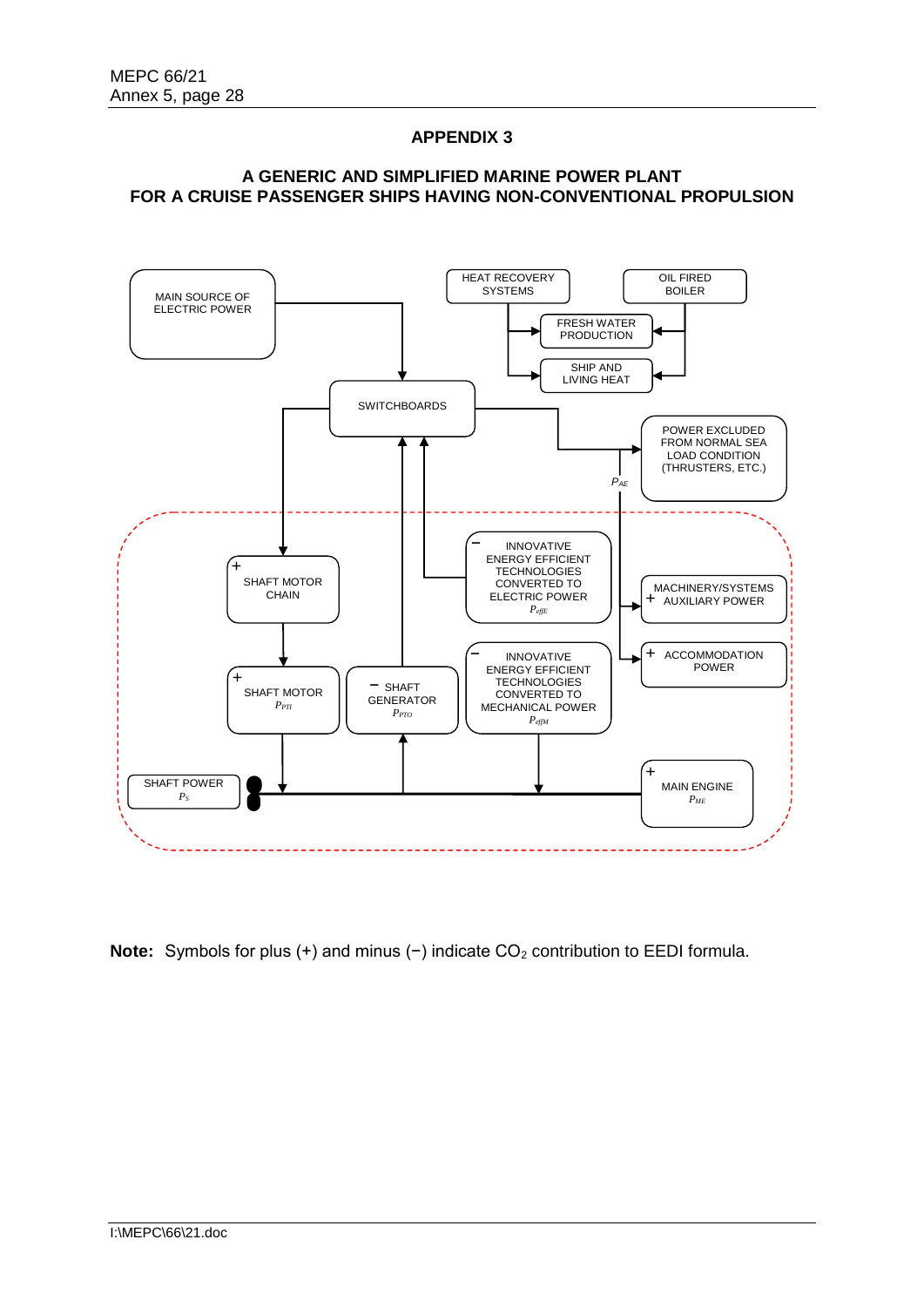# **APPENDIX 3**

## **A GENERIC AND SIMPLIFIED MARINE POWER PLANT FOR A CRUISE PASSENGER SHIPS HAVING NON-CONVENTIONAL PROPULSION**



Note: Symbols for plus (+) and minus (-) indicate CO<sub>2</sub> contribution to EEDI formula.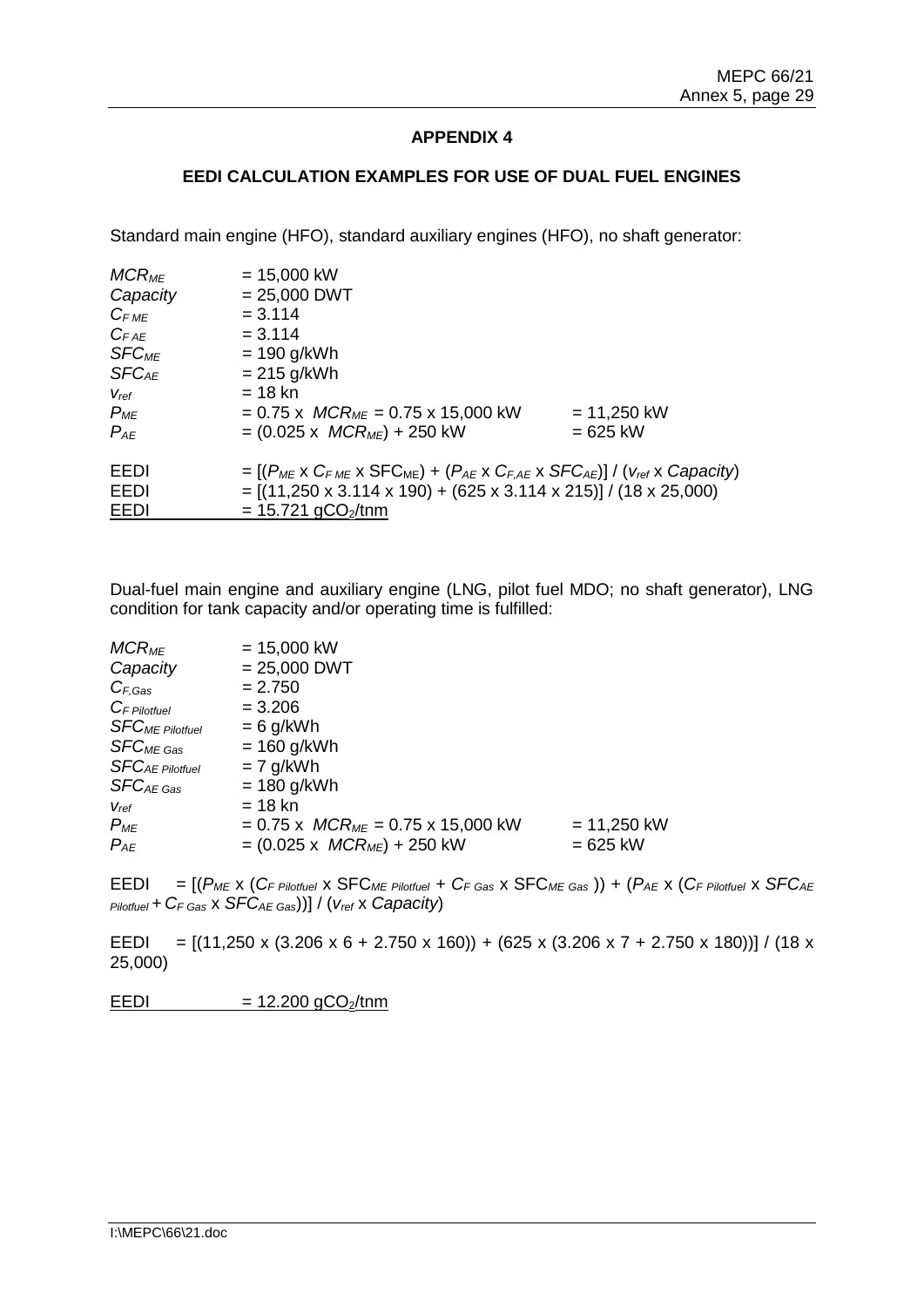# **APPENDIX 4**

### **EEDI CALCULATION EXAMPLES FOR USE OF DUAL FUEL ENGINES**

Standard main engine (HFO), standard auxiliary engines (HFO), no shaft generator:

| $MCR_{ME}$              | $= 15,000$ kW                                                                                                                                                                                                                                         |               |
|-------------------------|-------------------------------------------------------------------------------------------------------------------------------------------------------------------------------------------------------------------------------------------------------|---------------|
| Capacity                | $= 25,000$ DWT                                                                                                                                                                                                                                        |               |
| $C_{FME}$               | $= 3.114$                                                                                                                                                                                                                                             |               |
| $C_{FAE}$               | $= 3.114$                                                                                                                                                                                                                                             |               |
| <b>SFC<sub>ME</sub></b> | $= 190$ g/kWh                                                                                                                                                                                                                                         |               |
| $SFC_{AE}$              | $= 215$ g/kWh                                                                                                                                                                                                                                         |               |
| $V_{ref}$               | $= 18$ kn                                                                                                                                                                                                                                             |               |
| $P_{ME}$                | $= 0.75$ x $MCR_{ME} = 0.75$ x 15,000 kW                                                                                                                                                                                                              | $= 11,250$ kW |
| $P_{AE}$                | $= (0.025 \times MCR_{ME}) + 250$ kW                                                                                                                                                                                                                  | $= 625$ kW    |
| EEDI<br>EEDI<br>EEDI    | $= [(P_{ME} \times C_{FME} \times SFC_{ME}) + (P_{AE} \times C_{FAE} \times SFC_{AE})]/ (V_{ref} \times Capacity)$<br>$= [(11,250 \times 3.114 \times 190) + (625 \times 3.114 \times 215)] / (18 \times 25,000)$<br>$= 15.721$ gCO <sub>2</sub> /tnm |               |
|                         |                                                                                                                                                                                                                                                       |               |

Dual-fuel main engine and auxiliary engine (LNG, pilot fuel MDO; no shaft generator), LNG condition for tank capacity and/or operating time is fulfilled:

| $MCR_{ME}$              | $= 15,000$ kW                            |               |
|-------------------------|------------------------------------------|---------------|
| Capacity                | $= 25,000$ DWT                           |               |
| $C_{F,Gas}$             | $= 2.750$                                |               |
| $C_F$ Pilotfuel         | $= 3.206$                                |               |
| <b>SFC</b> ME Pilotfuel | $= 6$ g/kWh                              |               |
| $SFC_{ME}$ Gas          | $= 160$ g/kWh                            |               |
| <b>SFCAE Pilotfuel</b>  | $= 7$ g/kWh                              |               |
| $SFC_{AE\ Gas}$         | $= 180$ g/kWh                            |               |
| $V_{ref}$               | = 18 kn                                  |               |
| $P_{ME}$                | $= 0.75$ x $MCR_{ME} = 0.75$ x 15,000 kW | $= 11,250$ kW |
| $P_{AE}$                | $= (0.025 \times MCR_{ME}) + 250$ kW     | $= 625$ kW    |
|                         |                                          |               |

 $EEDI = [(P_{ME} \times (C_F_{Pilotfuel} \times SFC_{ME_{Pilotfuel}} + C_F_{Gas} \times SFC_{ME_{gas}})] + (P_{AE} \times (C_F_{Pilotfuel} \times SFC_{AE})]$ *Pilotfuel + CF Gas* x *SFCAE Gas*))] / (*vref* x *Capacity*)

EEDI =  $[(11,250 \times (3.206 \times 6 + 2.750 \times 160)) + (625 \times (3.206 \times 7 + 2.750 \times 180))] / (18 \times$ 25,000)

 $EEDI = 12.200 gCO<sub>2</sub>/tnm$